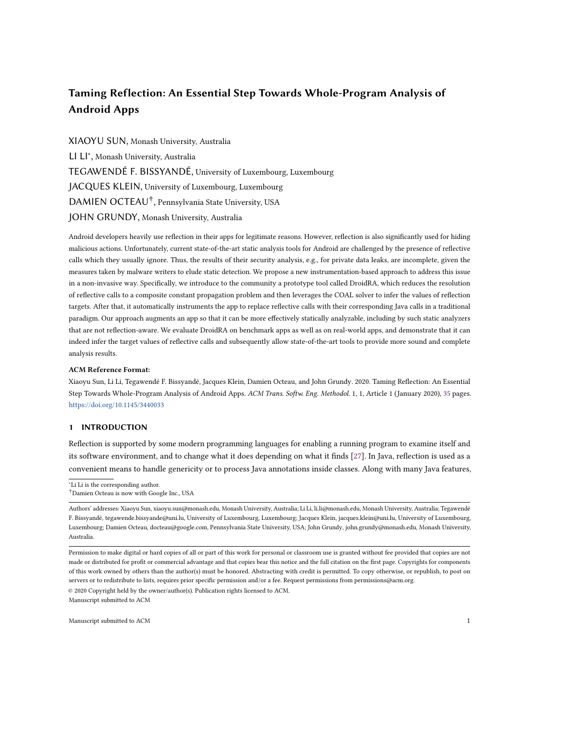# Taming Reflection: An Essential Step Towards Whole-Program Analysis of Android Apps

XIAOYU SUN, Monash University, Australia LI LI<sup>∗</sup> , Monash University, Australia TEGAWENDÉ F. BISSYANDÉ, University of Luxembourg, Luxembourg JACQUES KLEIN, University of Luxembourg, Luxembourg DAMIEN OCTEAU<sup>†</sup>, Pennsylvania State University, USA JOHN GRUNDY, Monash University, Australia

Android developers heavily use reflection in their apps for legitimate reasons. However, reflection is also significantly used for hiding malicious actions. Unfortunately, current state-of-the-art static analysis tools for Android are challenged by the presence of reflective calls which they usually ignore. Thus, the results of their security analysis, e.g., for private data leaks, are incomplete, given the measures taken by malware writers to elude static detection. We propose a new instrumentation-based approach to address this issue in a non-invasive way. Specifically, we introduce to the community a prototype tool called DroidRA, which reduces the resolution of reflective calls to a composite constant propagation problem and then leverages the COAL solver to infer the values of reflection targets. After that, it automatically instruments the app to replace reflective calls with their corresponding Java calls in a traditional paradigm. Our approach augments an app so that it can be more effectively statically analyzable, including by such static analyzers that are not reflection-aware. We evaluate DroidRA on benchmark apps as well as on real-world apps, and demonstrate that it can indeed infer the target values of reflective calls and subsequently allow state-of-the-art tools to provide more sound and complete analysis results.

#### ACM Reference Format:

Xiaoyu Sun, Li Li, Tegawendé F. Bissyandé, Jacques Klein, Damien Octeau, and John Grundy. 2020. Taming Reflection: An Essential Step Towards Whole-Program Analysis of Android Apps. ACM Trans. Softw. Eng. Methodol. 1, 1, Article 1 (January 2020), 35 pages. <https://doi.org/10.1145/3440033>

# 1 INTRODUCTION

Reflection is supported by some modern programming languages for enabling a running program to examine itself and its software environment, and to change what it does depending on what it finds [27]. In Java, reflection is used as a convenient means to handle genericity or to process Java annotations inside classes. Along with many Java features,

<sup>∗</sup>Li Li is the corresponding author.

†Damien Octeau is now with Google Inc., USA

© 2020 Copyright held by the owner/author(s). Publication rights licensed to ACM. Manuscript submitted to ACM

Authors' addresses: Xiaoyu Sun, xiaoyu.sun@monash.edu, Monash University, Australia; Li Li, li.li@monash.edu, Monash University, Australia; Tegawendé F. Bissyandé, tegawende.bissyande@uni.lu, University of Luxembourg, Luxembourg; Jacques Klein, jacques.klein@uni.lu, University of Luxembourg, Luxembourg; Damien Octeau, docteau@google.com, Pennsylvania State University, USA; John Grundy, john.grundy@monash.edu, Monash University, Australia.

Permission to make digital or hard copies of all or part of this work for personal or classroom use is granted without fee provided that copies are not made or distributed for profit or commercial advantage and that copies bear this notice and the full citation on the first page. Copyrights for components of this work owned by others than the author(s) must be honored. Abstracting with credit is permitted. To copy otherwise, or republish, to post on servers or to redistribute to lists, requires prior specific permission and/or a fee. Request permissions from permissions@acm.org.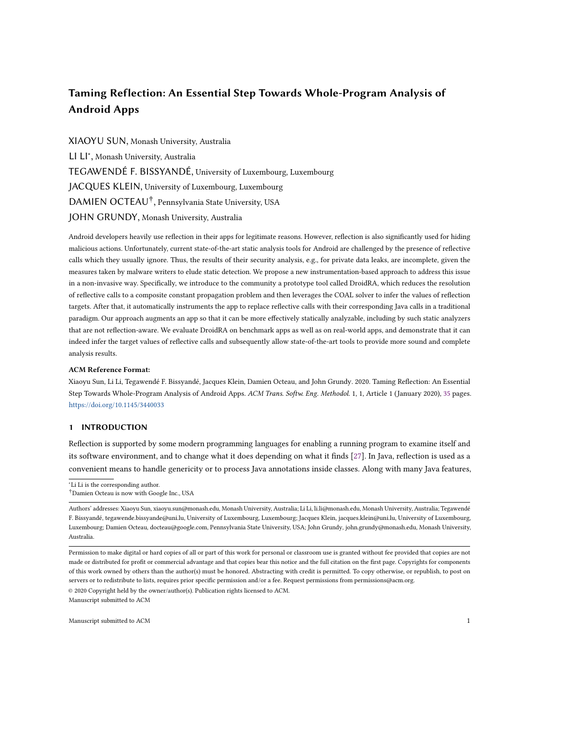Android has inherited the Java Reflection APIs which are packaged and included in the Android SDK for developers to use. Because of the fragmentation of the Android ecosystem, where many different versions of Android are concurrently active on various devices, reflection is essential. It allows developers, with the same application package, to target devices running different versions of Android. Developers often use reflection techniques to determine, at runtime, if a specific class or method is available before proceeding to use it. This allows the developer to leverage, in the same application, new APIs where available while still maintaining backward compatibility for older devices [22, 48]. Reflection is also used by developers to exploit Android hidden and private APIs, as these APIs are not exposed in the developer SDK and consequently cannot be invoked through traditional Java method calls.

Unfortunately, recent studies of Android malware have shown that malware writers are using reflection as a powerful technique to hide malicious operations [34, 49, 53]. In particular, reflection can be used to hide the real purpose of an app e.g., by invoking a method at runtime to escape static scanning, or simply to deliver malicious code [12]. Most state-of-the-art approaches and tools for static analysis of Android simply ignore the use of reflection [26, 33] or may treat it partially [30, 62]. A review of recent contributions on static analysis-based approaches for Android shows that over 90% of around 90 publications [47] from top conferences (including ICSE and ISSTA) do not tackle this reflection problem. This means that many research and practice tools that provide analysis results are incomplete, since some parts of the program may not be included in the app call graph, and unsound, since the analysis does not take into account some hidden method invocations or potential writes to object fields. In this regard, a recent study by Rastogi et al. [61] has shown that reflection makes most current static analysis tools perform poorly on malware detection tasks.

Handling reflection is however challenging for static analysis tools. There exist ad-hoc implementations for dealing with specific cases of reflection patterns [62]. Such implementations cannot unfortunately be re-used in other static analysis tools. Nevertheless, there is a commitment in the Android research community to propose solutions for improving the analysis of reflection. For example, in a recent work [17], Barros et al. propose an approach for resolving reflective calls in their Checker static analysis framework [25]. Their approach however 1) requires application source code, which is not available for most Android apps, 2) targets specific check analyses based on developer annotations, which requires additional developer effort to e.g. learn the target framework, find the right place to annotate, etc., and 3) does not provide a way to directly benefit existing static analyzers, i.e., to support them in performing reflection-aware analyses.

Our aim is to deal with reflection in a non-invasive way so that state-of-the-art analysis tools can better analyze application packages from app markets. To that end, we present our new DroidRA instrumentation-based approach for automatically resolving reflection in Android apps. In DroidRA, the targets of reflective calls are determined after running a constraint solver to output a regular expression satisfying the constraints generated by an inter-procedural, context-sensitive and flow-sensitive static analysis. A Booster module is then implemented to augment reflective calls with their corresponding explicit standard Java calls. Because some code can be loaded dynamically, before our reflection analysis, we also use heuristics to extract any would-be dynamically-loaded code. This is done by scanning all the files disassembled from APKs, such as a jar file with *classes.dex* inside, into our working space. Indeed, our reflection resolving approach hinges on the assumption that all the code that exists in the app package may be loaded at runtime and thus should be considered for analysis.

We make the following key contributions:

We provide insights on the use of reflection in Android apps, based on an analysis of 1000 apps randomly selected from a repository of apps collected from Google Play, third-party markets, as well as malware samples [11]. Manuscript submitted to ACM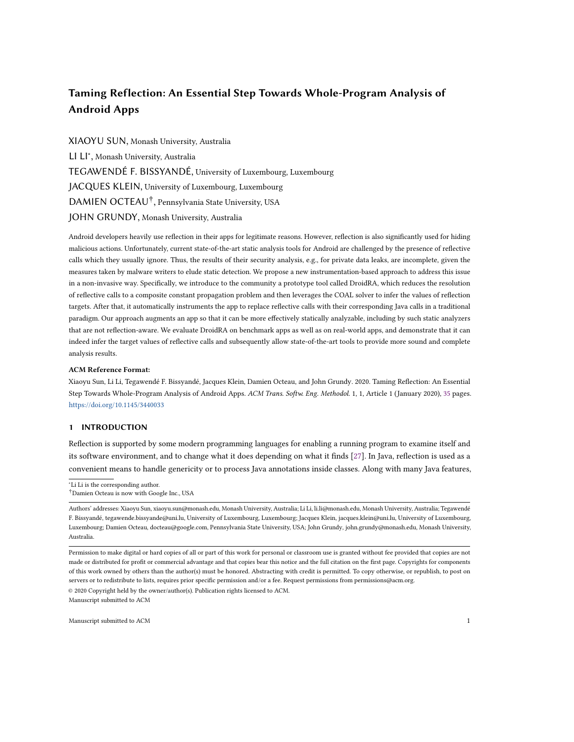Our findings show that 1) a large portion of Android apps rely on reflective calls, and that 2) reflective calls are usually used with some common patterns. We further show that we can discriminate between reflective calls in benign and malicious apps.

We designed and implemented DroidRA – an approach that aims to boost existing state-of-the-art static analysis for Android by resolving reflection in Android apps. DroidRA models the use of reflection with COAL [57] and is able to resolve the targets of reflective calls through a constraint solving mechanism. By instrumenting Android apps to augment reflective calls with their corresponding explicit standard Java calls, DroidRA complements existing analysis approaches.

We evaluated DroidRA on a set of real applications and report on the coverage of reflection methods that DroidRA identifies and inspects. We further rely on well-known benchmarks to investigate the impact that DroidRA has on improving the performance of state-of-the-art static analyzers. In particular, we show how DroidRA is useful in uncovering dangerous code, such as sensitive API calls, sensitive data leaks [14, 41], that was not previously visible to existing analyzers.

We release DroidRA and its associated benchmarks as open source [4], not only to foster research in this direction, but also to support practitioners in their analysis needs.

This paper is an extended and improved version of previous work presented at the 2016 International Symposium on Software Testing and Analysis (ISSTA). In this extension, we have improved DroidRA in three aspects:

Improvement #1: We introduce a probabilistic-like approach to strengthen our static reflection analysis, aiming at providing more sound and comprehensive reflection analysis results to support whole-program analysis of Android apps. Previously, when DroidRA cannot correctly infer the value of specific reflective calls, which is quite common because of the drawbacks of static analysis, DroidRA would yield a "\*" as output indicating that this value can be anything. This output is not useful for users. Hence, in this improvement, when "\*" occurs, we try to mitigate it by predicting its possible values using domain knowledge on top of static analysis results. Our experimental results show that this improvement can indeed help in resolving more reflective targets, compared to that of the previous version of DroidRA.

Improvement #2: We further take Fragment into consideration for the reflection analysis process. Fragment is a special element that can be placed in an Activity component to form a piece of an app's user interface. A Fragment element has its own lifecycle methods for which each of them can access into reflective calls. If Fragment elements are overlooked, an inevitable part of code will be missed, leading to less reflective calls characterized. After integrating Fragment into our analyzing process, our tool is capable of reaching reflective calls that could not be reached previously, and thereby results in more reflective calls discovered and resolved. Improvement #3: Since static analysis is known to be time consuming, we introduce a feature into DroidRA to support customized analysis of Android apps. If a given component is known to not include any reflective calls, there is no need to include this component for reflective analysis. As a result, less code will be analyzed, and hence better performance can be achieved. As revealed in our experiments, the customized module can (1) reduce computational costs while keeping the reflection analysis results unchanged for such apps that are successfully analyzed before, and (2) enable the analysis of some apps that cannot be successfully analyzed if not customized.

Apart from tool enhancements, which are detailed in the approach section (i.e., sec.approach), we have also improved the manuscript in the following aspects. First of all, we conduct extensive new experiments to evaluate the prototype tool improvements. Specifically, we have doubled the number of selected apps, and all the apps are randomly selected Manuscript submitted to ACM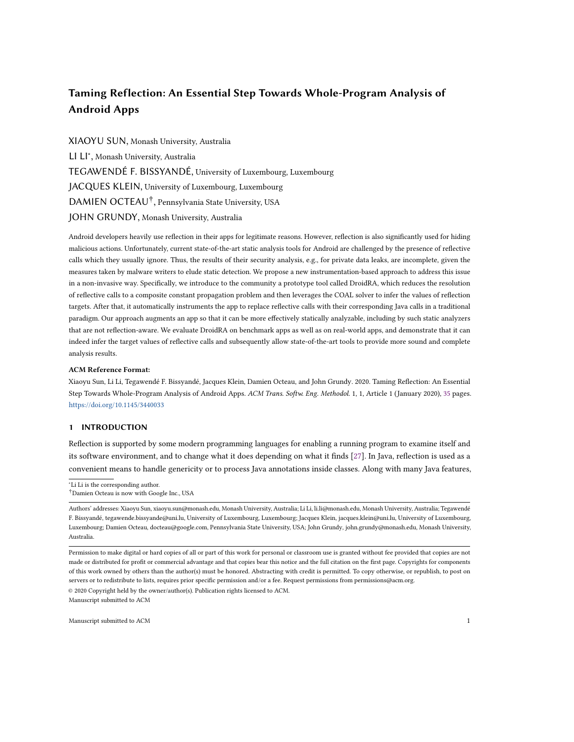```
1| TelephonyManager telephonyManager = //default;
2 \times 2 String imei = telephonyManager.getDeviceId();
3|Class c = Class.forName("de.ecspride.ReflectiveClass");
 4 | 0 \text{bject} \space o = c \text{ . } \text{newInstance}();
5 Method m = c . getMethod (" setIme " + "i", String . class ) ;
6 \mid m. invoke (o, imei);
7 Method m2 = c.getMethod ("getImei");
 8 \mid String s = (String) m2. invoke(o);
9 SmsManager sms = SmsManager . getDefault () ;
10 sms . sendTextMessage ("+49 1234", null, s, null, null);
```
Listing 1. Code excerpt of de.ecspride.MainActivity from DroidBench's Reflection3.apk. We remind the readers that while our approach proposed in this work works at the bytecode level of Android apps, we present as examples Java code snippets directly for the sake of readability.

from a dataset with the latest apps. We have also compared our approach with another state-of-the-art tool called DINA, except for comparing against the Checker framework. Second, apart from updating the results of the original research questions, we have also added two new research questions (i.e., RQ2 and RQ4) for evaluating the effectiveness of the newly introduced functions in the DroidRA enhancements. Third, we have now included a discussion section to discuss the impact of timeout setting on our experiments. Except for giving 10 minutes as timeout, which has been used in the experiments of the conference version and subsequently this extension, we further repeat the experiments with different timeouts (i.e., 1, 5, 20, 30, and 50 minutes). Our exploratory results show that 10 minutes is a reasonable timeout for applying DroidRA to analyze Android apps. Finally, we have significantly extended the related work discussion.

The remainder of this paper is organized as follows. Section 2 motivates our work through a concrete example and Section 3 investigates the use of reflection in Android apps. Section 4 presents our approach DroidRA, including its design and implementing details. Section 5 reports on the evaluation of DroidRA while Section 6 presents the limitations of DroidRA. Later, Section 7 discusses the related work and finally Section 8 concludes this paper.

## 2 MOTIVATION

Millions of applications are freely available for download by Android users. However, malware developers keep targeting the platform and trying to get their abusive applications into the Android ecosystem [28, 32, 44]. For example, 360 Security recently reported that over 500,000 new mobile malware variants targeting the Android platform were found in China in the first quarter of 2019 [65]. Also, as of early 2020, 1 out of every 1000 app installs from Google's official Play store is from a potentially harmful application, as shown in the recent Google Transparency Report.<sup>1</sup> These numbers demand practical and scalable approaches and tools to support security analysis of large sets of Android apps [28, 32, 54].

As example of such approaches, static taint analyzers aim at tracking data across control-flow paths to detect potential privacy leaks. Consider the state-of-the-art FlowDroid [14] approach as a concrete example. FlowDroid is used to detect private data leaks from sensitive sources, such as contact information or device identification numbers, to sensitive sinks, such as sending HTTP posts or short messages. FlowDroid has demonstrated many promising results. However, it suffers from limitations inherent to the challenges of performing static analysis in Android where the presence of reflection, dynamic class loading and native code calling, makes static analysis very challenging. Reflection breaks the traditional call graph construction mechanism in static analysis, resulting in an incomplete control-flow graph

<sup>1</sup>https://transparencyreport.google.com/android-security/overview

Manuscript submitted to ACM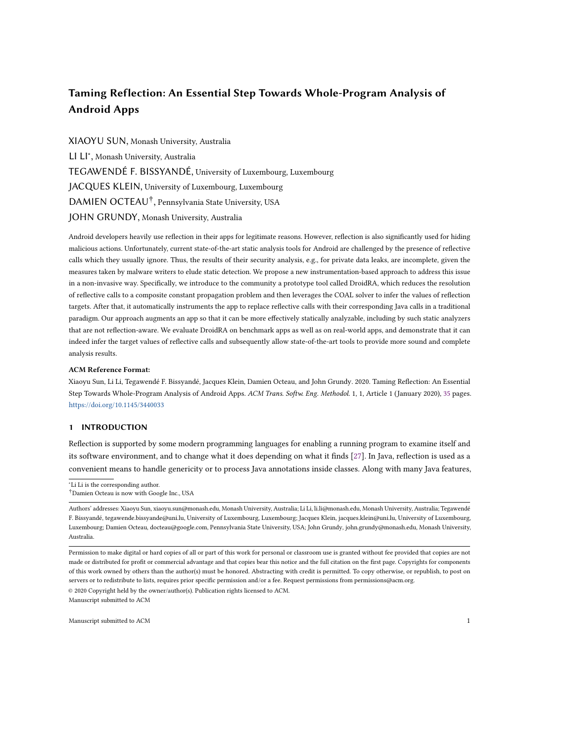(CFG) and consequently leading to incomplete analysis results. For example, a dynamically loaded class and reflectively called method can not usually be detected. In this paper, we focus on resolving reflection in Android apps to allow state-of-the-art tools such as FlowDroid to significantly improve their results. Dealing with reflection in static analysis tools is challenging. The Soot Java optimization framework, on top of which most state-of-the-art approaches are built, does not address the presence of reflective calls in its analyses. Thus, overall, resolving reflection at the app level will enable better analysis by state-of-the-art analysis tools to detect more potential security issues for app users.

Consider the case of an app included in the DroidBench benchmark suite [3, 14]. The Reflection3 benchmark app is known to be improperly analyzed by many tools, including FlowDroid, because it makes heavy use of reflective calls. Listing 1 shows part of this app. Here, class ReflectiveClass is first retrieved (line 3) and initialized (line 4). Then, two methods (setImei() and getImei()) from this class are reflectively invoked (lines 5-8). setImei(), which is selected by concatenating two strings at run-time, will store the device ID, obtained on line 2, into field imei of class ReflectiveClass (line 6). getImei(), similarly, gets back the device ID into the current context so that it can be sent outside the device via SMS to a hard-coded – i.e., not provided by the user – phone number (line 10).

The operation implemented in this code sample is malicious as the sensitive, private information of device ID is sent to a number unknown to the user. The purpose of the reflective calls, which appear between the obtaining of the device ID and its leakage outside the device, is to elude any taint tracking by confusing traditional control flow analysis. Thus, statically detecting such leaks becomes very hard. For example, bypassing property and method name detection by using run-time constructed string patterns, as done in line 5. Furthermore, even using simple string analysis is not enough to identify such malicious reflective calls. This is because both the method name (e.g., *getImei* for method  $\langle 2 \rangle$ ) and its declaring class name (e.g., ReflectiveClass for <2) are needed. These values must therefore be matched and tracked together: this is known as a composite constant propagation problem.

## 3 REFLECTION IN ANDROID APPS

We investigated whether reflection is truly a noteworthy problem in the Android ecosystem. To this end, we investigated why and to what extent reflection is used in Android apps. In Section 3.1, we report on the common, legitimate reasons that developers have to use reflection techniques in their code. Then, we investigate, in Section 3.2, the extent of the usage of reflection in real-world applications.

## 3.1 Legitimate Uses of Reflection

We have parsed Android developer blogs and reviewed some apps to understand when developers need to inspect and determine program characteristics at run-time, by leveraging the Java reflection feature.

Providing Genericity. Just like in any Java-based software, Android developers can write apps by leveraging reflection to implement generic functionality. Example (1) in Listing 2) shows how a real-world Android app implements genericity with reflection. In this example, a fiction reader app, sunkay.BookXueshanfeihu (4226F8 $^2$ ), uses reflection to effect the initialization of Collection List and Set.

Maintaining Backward Compatibility. In app *com.allen.cc* (44B232, an app for cell phone bill management), reflection techniques are used to check at run-time the targetSdkVersion of a device, and, based on its value, to realize different behaviors. A similar use scenario includes checking whether a specific class exists or not, in order to enable the use of advanced functionality when possible. For example, the code snippet (Example (2) in Listing 2), extracted from app

 $^{2}$ In this paper, we represent an app with the last six letters of its sha256 code.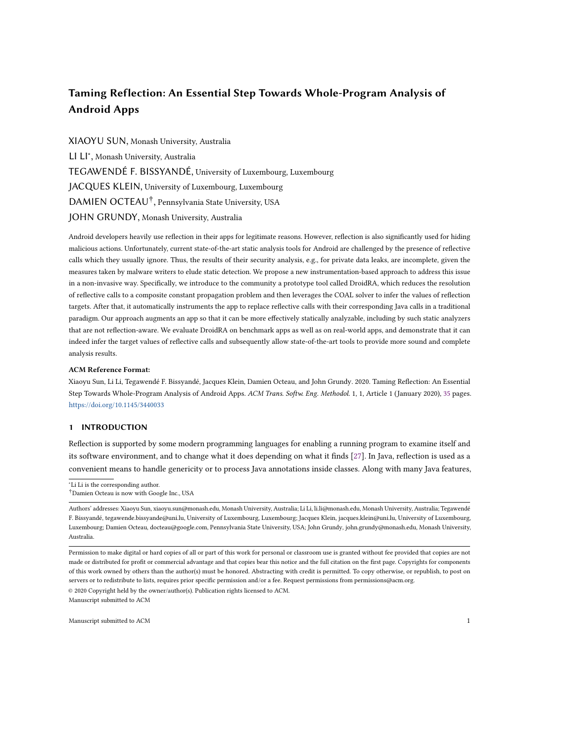```
1 // Example (1): providing genericity
 2 Class collectionClass;
 3 Object collectionData;
 4 public XmlToCollectionProcessor (Str s, Class c) {
 5 collectionClass = c;
 6 Class c1 = Class.format6" java.utilu;7 \mid if (c1 == c)8 this . collectionData = new ArrayList () ;
9 }
10 Class c2 = Class.format for Name ("java.util. Set");
11 if (c2 == c) {
12 this . collectionData = new HashSet () ;
13 }}
14
15 // Example (2): maintaining backward compatibility
16 try {
17 Class . forName ("android . speech . tts . TextToSpeech");
18<sup>3</sup> catch (Exception ex) {
19 // Deal with exception
20}
21
22 // Example (3): accessing hidden/internal API
23 // android .os. ServiceManager is a hidden class .
24 Class c = Class. for Name ("android.os. Service Manager");
25 Method m = c . getMethod (" getService ", new Class [] { String . class }) ;
26 | 0bject o = m.invoke ($obj, new String [] {"phone"});
27 IBinder binder = (IBinder) o;
28 // ITelephony is an internal class.
29 // The original code is called through reflection.
30 ITelephony. Stub. asInterface (binder);
```
Listing 2. Reflection usage in real Android apps.

com.gp.monolith (61BF01, a 3D game app), relies on reflection to verify whether the running Android version, includes the text-to-speech module. Such uses are widespread in the Android community as they represent the recommended way [2] of ensuring backward compatibility for different devices and SDK versions.

Protecting Intellectual Property. In order to prevent simple reverse engineering, developers separate their app's core functionality into an independent library and load it dynamically (through reflection) when the app is launched: this is a common means to obfuscate app code. As an example, developers usually dynamically load code containing premium features that must be shipped after a separate purchase.

Accessing Hidden/Internal APIs. In the development phase, Android developers write apps that use the android.jar library package containing the SDK API exposed to apps. In contrast, when in production and apps are running on a device, the used library is actually different, i.e., richer. Indeed, some APIs (e.g., getService() of class ServiceManager) are only available in the platform SDK as they might still be unstable or were designed only for system apps [46]. However, by using reflection, such previously hidden APIs can be exploited at runtime. Example (3), found in a wireless management app -com.wirelessnow (314D51)-, illustrates how such a hidden API can be targeted by a reflective call.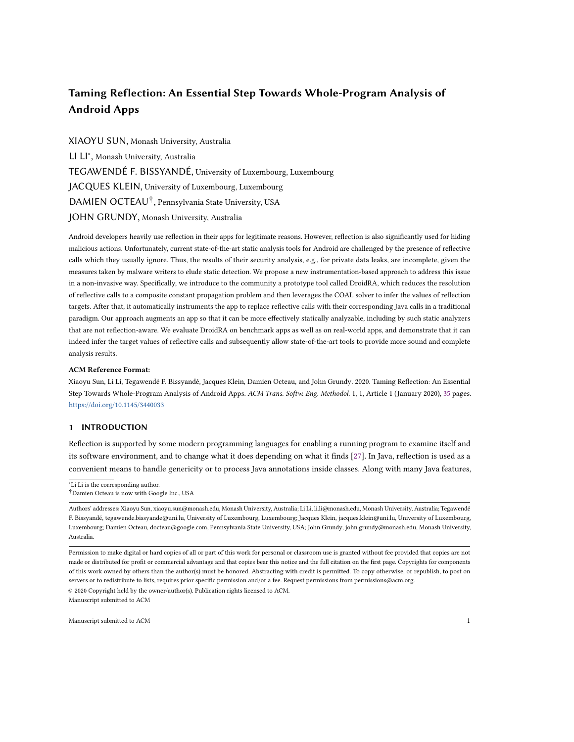#### 3.2 Adoption of Reflection in Android

To investigate the use of reflection in real Android apps, we consider a large research repository of over 2 millions apps crawled from Google Play, third-party markets and known malware samples [11].

We randomly selected 500 apps from this repository and parsd the bytecode of each app, searching for the use of reflective calls. The strategy used consists in considering any call to a method implemented by the four reflection-related  $\emph{classes}^3$  as a reflective call, except such methods that are overridden from java.lang.0bject.

3.2.1 Overall Usage of Reflection. Our analysis shows that reflection usage is widespread in Android apps, with 87.6% (438/500) of these selected apps making use of reflective calls. In fact, on average, each of the selected apps uses 138 reflective calls. Table 1 summarizes the top 10 methods used in reflective calls.

| Method (belonging class)   | $#$ of Calls | # of Apps   |
|----------------------------|--------------|-------------|
| getName(C)                 | 12,588       | 283 (56"6%) |
| getSimpleName (C)          | 5,956        | 87 (17"4%)  |
| isAssignableFrom (C)       | 4,886        | 164 (32"8%) |
| invoke (M)                 | 3,026        | 223 (44"6%) |
| getClassLoader (C)         | 2,218        | 163 (32"6%) |
| for Name $(C)$             | 2.141        | 227 (45"4%) |
| getMethod (C)              | 1,715        | 135 (27"0%) |
| desiredAssertionStatus (C) | 1,218        | 202 (40"4%) |
| get(F)                     | 1,139        | 177 (35"4%) |
| getCanonicalName (C)       | 1,115        | 388 (77"6%) |
| Others                     | 24,708       | 4(8%)       |
| Total                      | 60,710       | 438 (87"6%) |

Table 1. Top 10 used reflection methods and their argument type: either (C): Class, (M): Method or (F): Field.

However, many real-world ad libraries make extensive use of reflection. Thus, we performed another study to check whether or not most reflective calls are only contributed by common advertisement libraries. We thus exclude reflective calls that are invoked by common ad libraries<sup>4</sup>. Our results show that there are still 382 (76.4%) apps whose non-ad code includes reflective calls, suggesting the use of reflection in primary app code.

3.2.2 Pa erns of Reflective Calls. In order to have a clearer picture of how one can find reflection in apps, we further investigate the sequences of reflective calls used and summarize the patterns used by developers to implement Android program behaviour with reflection. We consider all method calls within the selected 500 apps and focus on the reflectionrelated sequences that are extracted. We used a simple and fast approach considering the natural order in which the bytecode statements are vielded by Soot<sup>5</sup>. We find 34.957 such sequences (including 1 or more reflective calls). An isolated reflective call is relatively straightforward to resolve as its parameter is usually a String value (e.g., name of class to instantiate or method to call). However, when a method in the instantiated class must be invoked, other reflective calls may be necessary (e.g., to get the method name or parameter object type), which complicate reflection target resolution. We found 45 distinct patterns of sequences containing at least three reflective calls. Table 2 details the top five sequences of reflection calls in these apps. In most cases, reflection is used to access methods and fields of a

<sup>3</sup> java.lang.reflect.Field, java.lang.reflect.Method, java.lang.Class, and java.lang.reflect.Constructor.

<sup>&</sup>lt;sup>4</sup>We take into account 12 common libraries, which are published by [16] and are also used by [40]. We believe that a bigger library set like the one provided by Li et al. [45] could further improve our results.<br>Provided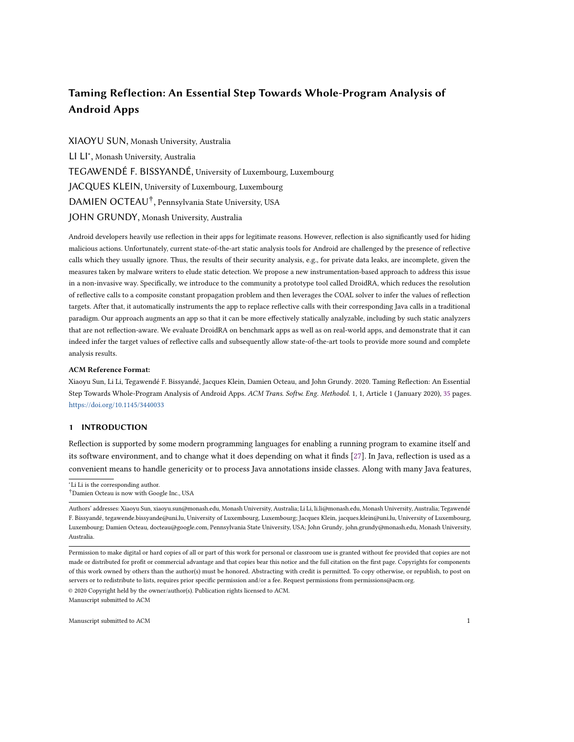given class which may be identified or loaded at runtime. This confirms the fundamental functionality of reflective calls which is to access methods/fields.

| Sequence pattern                                 | Occurences |
|--------------------------------------------------|------------|
| $Class for Name()$ getMethod $()$ invoke $()$    | 133        |
| getName()! getName()! getName()                  | 120        |
| getDeclaredMethod() ! setAccessible() ! invoke() | 110        |
| getName()! isAssignableFrom()! getName()         | 92         |
| $getFields()$ ! $getAnnotation()$ ! $set()$ !    | 88         |

Table 2. Top 5 patterns of reflective calls sequences.

We further investigate the 45 distinct patterns to identify the reflective call patterns that are potentially dangerous, as they may change program state. We focus on sequences that include a method invocation (sequences 1 and 3 in Table 2) or access a field value in the code (sequence 5). Taking into account all the relevant patterns, including 976 sequences, we infer the common pattern, which is represented in Figure 1. This pattern illustrates how the reflection mechanism allows an app to obtain methods/fields dynamically. These methods and fields can be used directly when they are statically declared (solid arrows in figure 1); they may otherwise require initializing an object of the class, e.g., also through a reflective call to the corresponding constructor (dotted arrows). With this common pattern, we can model most typical usages of reflection which can hinder state-of-the-art static analysis approaches.

The model yielded allows us to consider different cases for reflective call resolution. In some simple cases, a string analysis is sufficient to extract the value of the call parameter. However, in other cases where class objects are manipulated to point to methods indicated in field values, simple string analysis cannot be used to help mapping the flow of a malicious operation. Finally, in some cases, there is a need to track back to the initialization of an object by another reflective call to resolve the target.



Fig. 1. Abstract pattern of reflection usage and some possible examples.

# 4 RESOLVING REFLECTION

We have two key aims: (1) to resolve reflective call targets in order to expose all program behaviors for static analysis, especially for analyses that must track private data, to produce more complete results; and (2) to *unbreak* app control-flow in the presence of reflective calls in order to allow static analyzers to produce more precise results. Manuscript submitted to ACM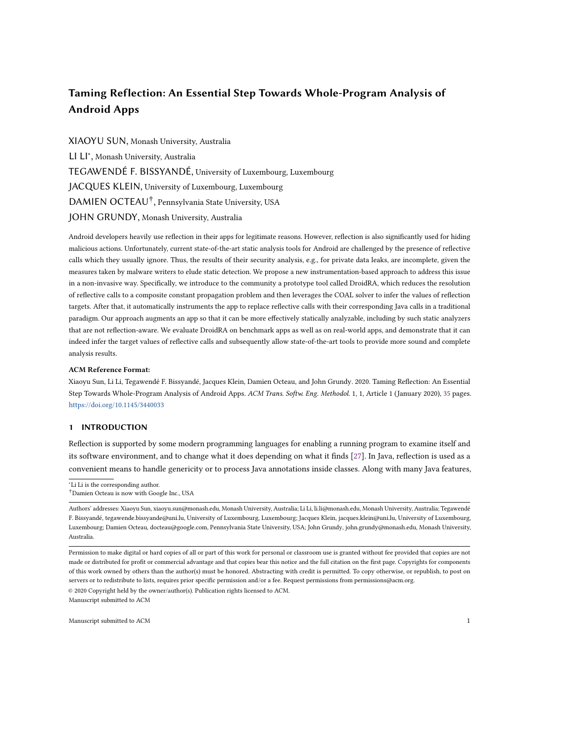Figure 2 presents an overview of the architecture of the DroidRA approach involving three modules. (1) The first module named JPM prepares the Android app to be inspected. (2) The second module named RAM locates reflective calls and retrieves the values of their associated parameters (i.e., class/method/field names). All resolved reflection target values are made available to the analysts for use in their own tools and approaches. (3) Leveraging the information yielded by the RAM module, the BOM module instruments the app and transforms it into a new app where reflective calls are now augmented with standard java calls. The objective of BOM is to produce an *equivalent* app whose analysis by state-of-the-art tools will yield more precise and complete results [38].



Fig. 2. Overview of DroidRA.

#### 4.1 JPM – Jimple Preprocessing Module

Android programming presents specific characteristics that require app code to be preprocessed before Java standard analysis tools can be used on it. First, an Android app is distributed as an  $apk$  file in which the code is presented in the form of Dalvik bytecode, a specific format for Android apps. Our analysis and code instrumentation will however manipulate code in Jimple, the intermediate representation required by Soot [36], a Java optimization framework. As a result, in a first module in DroidRA, JPM, leverages the Dexpler [18] translator to decompile the apk and output Jimple code.

Second, similarly to any other static analysis approaches for Android, DroidRA needs to start analysis from a single entry-point. Unfortunately, Android apps do not have a well-defined entry-point, e.g., main() in Java applications. But instead, they have multiple entry-points since each component that declares Intent Filters, which define the capabilities of a component, is a possible entry-point. To address this challenge, we use the same approach as in FlowDroid [14]. This is to artificially assemble a dummy main method, taking into account all possible components including all possible callback methods (e.g., onClick()), and their lifecycle methods (e.g., onCreate() and onStop()). In Android, there are four types of components: Activities, Services, Broadcast Receivers, and Content Providers. Each of these four types of components has its own lifecycle that is different from others and hence needs to be separately modeled and analyzed. Indeed, as an example of an activity's lifecycle shown in Fig. 3, all the methods, both lifecycle and callback, are not connected at the code level. They therefore need to be artificially connected in the dummy main method in order to allow the static analyzers to reach them.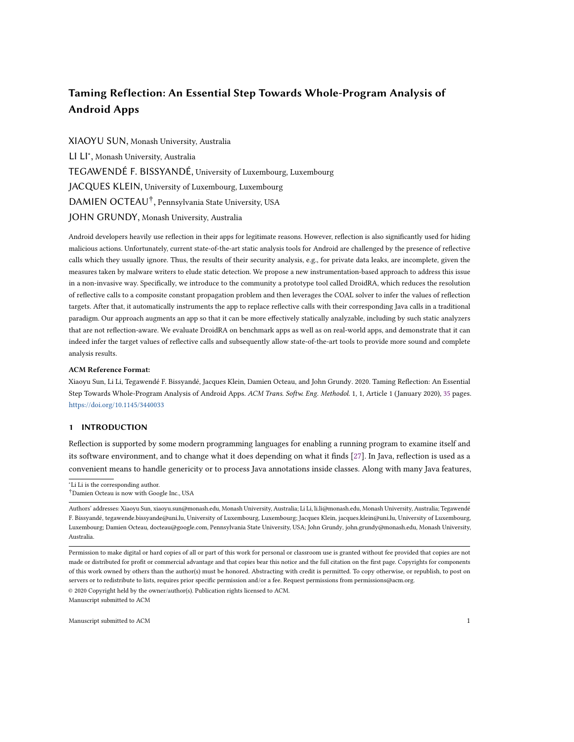

Fig. 3. The lifecycle of an activity.

Apart from these four components, there is a special element called the Fragment that also introduces challenges to static analysis. A Fragment, although it cannot be run independently, can be placed in an Activity component, responsible for an app's user interface, to form a piece of the app's user interface and can be added or removed while the host Activity is running. Fragment is introduced to Android apps for achieving the following advantages: (1) Modularity: cohesive UI code can be encapsulated into a fragment rather than scattered in an Activity; (2) Reusability: a dedicated fragment can be leveraged by multiple Activities; and (3) Adaptability: according to the screen size or screen orientation of the hardware, different layouts can be adapted for fragments to enable better user experience.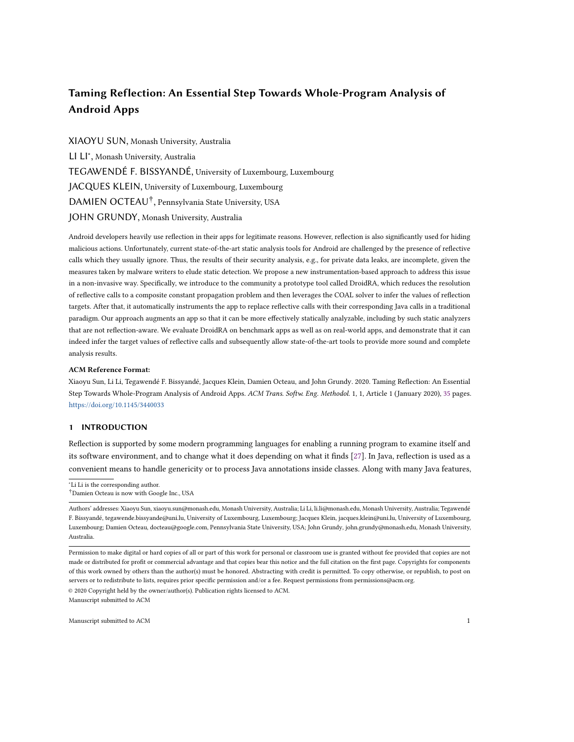Because of these, the Fragment concept has been heavily leveraged by app developers to implement Android apps. However, reflection might also be used in the implementation of Fragment, and therefore there is a need to take into account Fragments in our analysis. Listing 3 illustrates a Fragment-related code snippet extracted from a realworld Android app. Developers have to extend the Fragment class to create concrete Fragment implementations (e.g., SmartBarFragment). Reflection might also be used in the implementation of Fragments. Indeed, as shown in Listing 3, reflection (e.g., lines 28-31) has been leveraged by *getNavBarOverride()* to access system properties.

Unfortunately, when developing the initial version of DroidRA, the authors were not aware of Fragments and their potential impacts on static analysis of Android apps (i.e., less code reached). As a result, Fragments had been ignored, resulting in Fragment-related code blocks not being visited, and consequently, reflective calls leveraged by those code blocks not reached. To this end, there is a strong need to also take Fragments-related code into consideration. However, it is non-trivial to implement this as Fragments (like Android components) also introduce their own lifecycle and callback methods and these may also access reflective calls. Indeed, let us take Listing 3 again as an example, there are three lifecycle methods (i.e., onCreate(), onCreateView, onViewCreated) declared in the SmartBarFragment class. These lifecycle methods are not directly connected at the code level. Their execution sequences are also determined by the Android framework (hard to decide by statically parsing this code).

Hence, these lifecycle methods also need to be included in the generated dummy main method. Fig. 3 illustrates the lifecycle of an activity where it involves a fragment and its lifecycle methods (including the aforementioned three lifecycle methods). In this work, we include these methods into the dummy main method following the call relations shown in Fig. 3. When a Fragment is identified in Android activities, our approach will attach the Fragment's lifecycle and callback methods into the lifecycle of the activities. For example, there will be a call flow from the onCreate() method of the activity to the onAttach() method of the Fragment. When there is a joint point (e.g., after the onActivityCreated() method), an if-statement will be created in the dummy main method, which will subsequently generate two branches covering all the possible execution sequences of the lifecycle methods (e.g., either the *onStart()* method of the activity or the *onStart()* method of the Fragment). This enables the static analyzer to build an inter-procedural control-flow graph and consequently to traverse all the app code.

In order to support customized analysis of Android apps, we introduce an option allowing users to specify how the dummy main method should be built. Users can leverage this option to exclude such classes that have already been analyzed previously and have not been changed at the time of the new analysis if a regular reflective analysis is planned. This option further provides opportunities for the analysis to remove such methods that do not use reflective calls. To ensure a given method is reflection-free, we check not only the method itself but also its accessed methods, following the call graph constructed for the analyzed Android app. We believe this option will be helpful when the analyzed apps are large. Indeed, some complicated apps may cause static reflective analysis to be unable to terminate within a certain period of time. To overcome this problem, which is commonly encountered by many static analysis tools, users can leverage this option to exclude part of the codebase from the app, thereby only analyzing a part of the app code. In this way, the reflection analysis can finish and could yield useful results. Although these results are only partial for the whole app, it is nonetheless better than the former case where no results are obtained.

Third, we aim to analyze the entire available app code, including such code that is dynamically loaded (e.g., at runtime). However, such dynamic Code Loading (DCL) is yet another challenge for static analysis. This is because some would-be loaded classes that are added at runtime e.g., downloaded from a remote server, may not exist at all at static analysis time. We focus on dynamically loaded code that is included in the apk file, although in a separated archive file, and which can then be accessed at static analysis time. We assume that this way of locally storing the code to be Manuscript submitted to ACM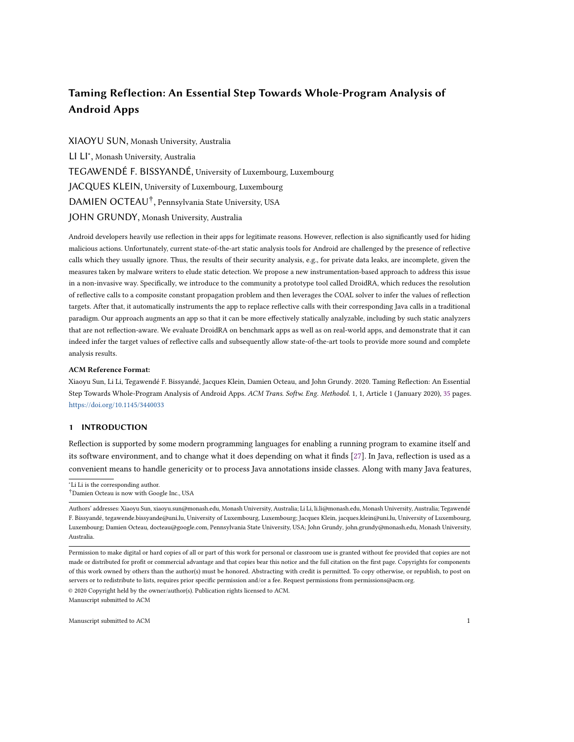```
1 public class SmartBarFragment extends Fragment {
2 @Override
3 public void onCreate ( @Nullable Bundle savedInstanceState ) {
 4 super . onCreate ( savedInstanceState ) ;
5 mActivity = getActivity();
6 mHandler = new Handler () ;
7 }
8 @Override
9 public View onCreateView ( LayoutInflater inflater , ViewGroup container , Bundle
       savedInstanceState) {...}
10 @Override
11 public void onViewCreated ( View view , @Nullable Bundle savedInstanceState ) {
12 super . onViewCreated (view, savedInstanceState);
13 Log.d(TAG, "navigationHeight:" + UiUtils.getNavigationBarHeight(mActivity));
14 \rightarrow15}
16 public final class UiUtils {
17 public static int getNavigationBarHeight ( Context context ) {
18 hasNavBar (context);
19
20 \vert }
21 private static boolean hasNavBar ( Context context ) {
22 String sNavBarOverride = getNavBarOverride ();
23 \rightarrow24 private static String getNavBarOverride () {
25 String sNavBarOverride = null ;
26 if (Build . VERSION . SDK_INT >= Build . VERSION_CODES . KITKAT) {
27 try {
28 Class c = Class.format("android. os. SystemProperties");29 Method m = c . getDeclaredMethod (" get ", String . class ) ;
30 m . setAccessible ( true ) ;
31 sNavBarOverride = ( String ) m . invoke (null , " qemu .hw. mainkeys ") ;
32 } catch (Throwable e) {}
33 }
34 return sNavBarOverride ;
35 }}
```


dynamically loaded is most widespread. Indeed, in our previous work in understanding the piggybacking behaviors of Android apps, we have empirically found that a significant number of DEX files are distributed (inside the APK) via resource files such as image or XML files. In any case, Google Play policy explicitly states that an app downloaded from Google Play may not modify, replace or update its own APK binary code using any method other than Google Play's update mechanism [7].

In practice, our DCL analysis is performed through heuristics. Given an app 0, we first unzip<sup>6</sup> it and then traverse all its embedded files, noted as the set . For each file  $5/2$ , if it is a Java archive format – the file extension could vary from dat, bin to  $db$  – then we recursively open it and check whether it contains a dex file through its magic number (035). All retrieved dex files, usually with classes.dex, are then taken into consideration for any further analysis of the app.

 $6$ The format of an *apk* is actually a compressed ZIP archive.

Manuscript submitted to ACM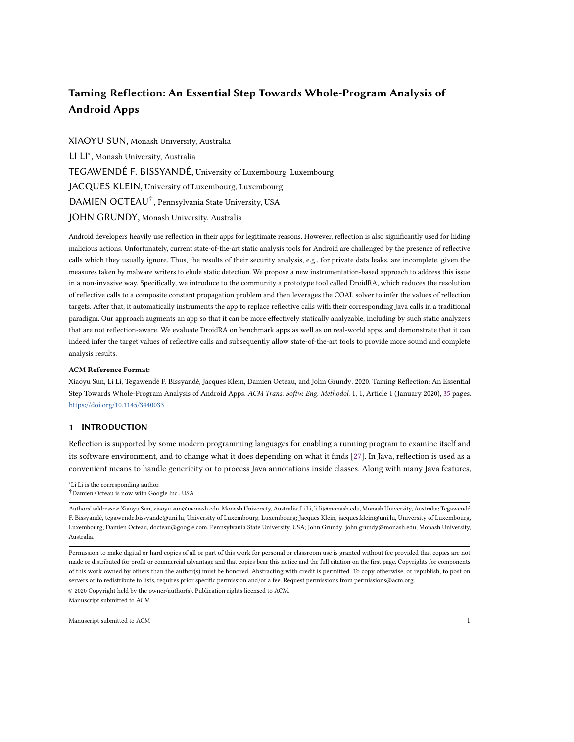We tested our heuristics-based process for finding DCL code by analyzing 1,000 malicious apps randomly selected from our data set. We found that 348 (34.8%) apps contain additional code that can be dynamically loaded at runtime. Among these 348 apps, we collected 1,014 archives that contain an extra classes.dex file, giving an average of 2.9 "archives with code" per app. We also found that the 1,014 archives are redundant in many apps: there are actually only 74 distinct archive names. For example, library bootablemodule.jar, which contains a classes.dex file, is used by 115 apps. This library package was recently studied in a dynamic approach [73].

#### 4.2 RAM – Reflection Analysis Module

The Reflection Analysis Module of DroidRA identifies reflective calls in a given app and maps their target string/object values. For example, consider the motivating example from the DroidBench app presented in Listing 1. The aim of RAM is to extract not only the method name in the m2.invoke(o) reflective call (line 8 in Listing 1), but also the class name that <2 belongs to. In other words, we have to associate <2 with  $64C < 48$ , but also > with  $34''42B?AB34'''45;42C8E4$ ;0BB.

To that end, based on this motivating example and our study of reflective call patterns described previously, we observe that this can be modeled as a constant propagation problem within an Android Inter-procedural Control-Flow Graph. Mapping a reflective call eventually consists of resolving the value of its parameters – name and type – through a context-sensitive and flow-sensitive inter-procedural data-flow analysis. The purpose is to obtain highly precise results. This is very important since the app will be automatically instrumented without any manual check of these results.

Let us consider the resolution of the value of <2 in line 8 (' $(LAB = 6B = (CAB = 6^{\circ} < 2^{\circ} = E > 1^{\circ})$ ' in Listing 1) as an example. If we cannot precisely extract the class name that <2 belongs to, then our RAM module might tell us that <2 belongs to class TelephonyManager, rather than the right class ReflectiveClass. During instrumentation, we will then write code calling <2 as a member of TelephonyManager, which would yield an exception at runtime i.e. no such method error, and consequently fail the static analysis.

To build a mapping from reflective calls to their target string/object values, our static analysis adopts an interprocedural, context-sensitive, flow-sensitive analysis approach. We leverage the composite COnstant propAgation Language (COAL) [57] for specifying this reflection problem. In order to use COAL, the first step is to model the reflection analysis problem independently from any app. We use the abstract patterns of reflective calls described in Section 3.2.2. This generic model is specified by composite objects. For example, a reflective method is specified as an object (in COAL) with two fields: the method name and its declaring class name. Once reflection analysis has been modeled, we build on top of the COAL solver to implement a specific analyzer for reflection. This analyzer then performs composite constant propagation to resolve the previously defined composite objects and thereby to infer the reflective call target values.

COAL-based Reflection Analysis. We now illustrate a simple example shown in Listing 4 to better explain the constant propagation of reflection-related values for class Method. Specifications for all other reflection-related classes are defined similarly. All specifications will be open-sourced eventually. Based on the specification shown in Listing 4, the COAL solver generates the semilattice that represents the analysis domain. In this case, the Method has two string fields, where Class types (strings of characters) are modeled as fully qualified class names. In the COAL abstraction, each value on an execution path is represented by a tuple, in which each tuple element is a field value. More formally, let S be the set of all strings in the program and let  $=$   $\frac{1}{\pi} \int_{0}^{\pi} \int_{0}^{\pi} f \int_{0}^{g} f \int_{0}^{g} f \int_{0}^{g} f \int_{0}^{g} f \int_{0}^{g} f \int_{0}^{g} f \int_{0}^{g} f \int_{0}^{g} f \int_{0}^{g} f \int_{0}^{g} f \int_{0}^{g} f \int_{0}^{g} f \int_{0}^{g} f \int_{0}^{g} f \int_{0}^{g}$ Then the analysis domain is the semilattice  $l = 12 \cdot 9$ , where for any set  $-$ ,  $2<sup>-</sup>$  is the power set of  $-$ , and elements in 2 represent the set of values of Method variables across all execution paths. Semilattice ! has a bottom element ? =  $\varnothing$ and its top element is the set of all elements in . For example, the following equation models the value of object m at Manuscript submitted to ACM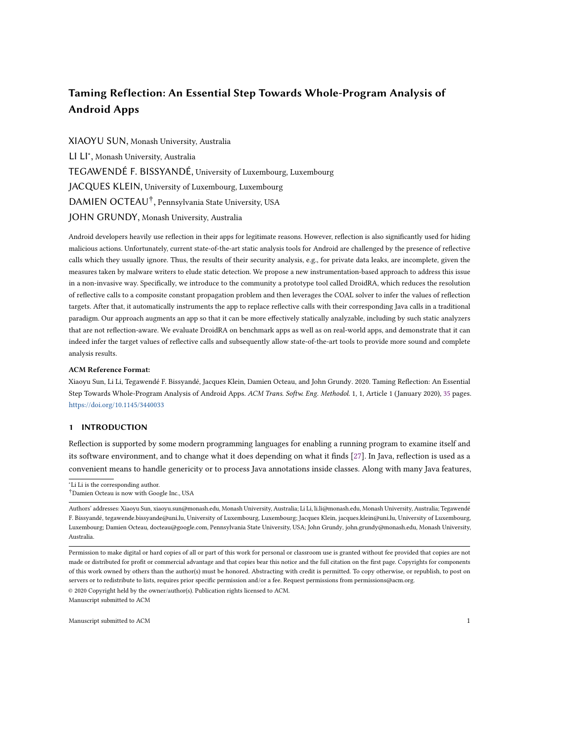```
1 // Java / Android code
2 Class c; Method m;
3 if (b) {
 4 c = first . Type . class ;
5 \, \text{m} = c. getMethod ("method1");
6 } else {
7 \mid c = second. Type. class;
8 \mid m = c. getMethod ("method2");
9 }
10 \, \vert \, m. invoke (someArguments);
11 // Simplified COAL specification (partial)
12 class Method {
13 Class declaringClass_method;
14 String name_method ;
15 mod gen < Class: Method getMethod (String, Class []) > {
16 -1: replace declaringClass_method;
17 0: replace name_method; }
18 query < Method : Object invoke ( Object , Object []) >{
19 -1: type java.lang.reflect.Method; }
20 }
```
Listing 4. Example of COAL-based reflection analysis for class Method. Similar specifications apply for all other reflection classes

line 10 of Listing 4:

## $f$ <sup>1</sup>first.Type•method1<sup>o</sup>•<sup>1</sup>second.Type•method2<sup>o</sup>g (1)

The first tuple in Equation (1) represents the value of Method object m contributed by the first branch of the if statement. The second tuple, on the other hand, models the value on the fall-through branch.

In order to generate transfer functions for the calls to getMethod, the COAL solver relies on the specification presented in lines 15-17 of Listing 4. The modifier mod statement specifies the signature of the getMethod method and it describes how the method modifies the state of the program. The gen keyword specifies that the method generates a new object of type Method (i.e., it is a factory function). Statement -1: replace declaringClass\_method indicates that the name of the Class object on which the method is called (e.g., first.Type at line 4) is used as the field declaringClass\_method of the generated object. Note that in this statement the special -1 index indicates a reference to the instance on which the method call is made, for example object c at line 5. Finally, statement 0: replace name\_method indicates that the first argument (as indicated by index 0) of the method is used as the name\_method field of the generated object.

At the start of the propagation performed by the COAL solver, all values are associated with ?. Then the COAL solver generates transfer functions that model the influence of program statements on the values associated with reflection. Following the formalism from [57], for any  $E \, 2$  !, we define function  $\ell = \ell_E$  such that  $\ell = \ell_E \, \ell^2 = E$ . By using the specification at lines 15-17, the COAL solver generates function  $\theta = \theta \mathcal{C}_{f^{\dagger}$ first. Type method1° q for the statement at line 5. The function that summarizes the statement at line 8 is defined in a similar manner as  $\ell=\ell\ell_f^3$  second. Type method2° g. Thus, when taking the join of  $\ell = \ell_{f+first.Type\text{method1}^0 g}$ <sup>1?</sup><sup>o</sup> with  $\ell = \ell_{f+second.Type\text{method2}^0 g}$ <sup>1?°</sup>, we obtain the value given by Equation (1). For string analysis, the COAL solver introduces a flow-sensitive and interprocedural approach. This first gathers the dataflow facts for string variables and then determines regular sets that satisfy these facts. This analysis is implemented based on the flow-sensitive use-def analysis provided by the Soot framework [36]. By leveraging the Single Static Assignment (SSA) intermediate program representation, the analysis traverses all the instructions in all reachable functions to determine the corresponding constraints related to strings.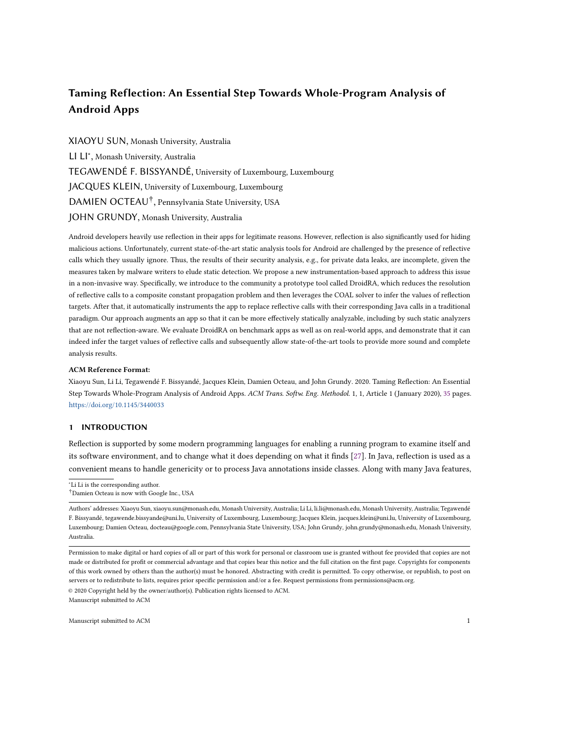Taming Reflection: An Essential Step Towards Whole-Program Analysis of Android Apps 15

```
1 | 0 \text{bject} [] objs = new 0 \text{bject} [2];
2|obs[0] = "TOSEM";3 objs[1] = 2020;
4 m . invoke (null , objs ) ;
5 //m(String, int)
```
Listing 5. Example of use of a varargs parameter.

The COAL specification in Listing 4 includes a query statement at lines 18-19. This causes the COAL solver to compute the values of objects of interest at specific program points. In our example, the query statement includes the signature for the invoke method. The -1: type Method statement specifies that objects on which the invoke method is called have type Method. Thus using this specification the COAL solver will compute the possible values of object m at line 10 of Listing 4.

Improvements to the COAL Solver. We have contributed to several improvements of the COAL solver in this work. These improvements now enable it to perform efficiently for resolving the targets of reflective calls. At first, we extended the COAL language and its solver to be able to query the values of objects on which instance calls are made. This allowed us to query the value of object m in statement m.invoke(obj, args). Second, we added limited support for arrays of objects such that the values of object arrays can be propagated to array elements. More specifically, if an array 0 is associated with values  $E_1, E_2, ..., E_n$ , for any 8 array element 0» $\mathcal{M}_n$ , we mark it as potentially containing all the values (from  $E_1$  to  $E_1$ ). While this may not be precise in theory, in the case of reflection analysis, the arrays of constructors, returned by method getConstructors(), that we consider typically only have a few elements.Thus, this improvement, which ensures that the propagation of constructors is done, is precise enough to use in practice.

We detail an example of a difficulty that we encountered to retrieve the string/object values. The difficulty is due to the fact that some reflection calls such as *m.invoke(Object, Object[]*) take as parameter a varargs [9]. The problem here is that the object array is not the real parameter of the method <. Indeed, the parameters are instead the elements of the array. This keeps us from extracting the appropriate method for instrumentation.

Let us consider the example code snippet in Listing 5. By only looking in line 4, we would infer that the parameter of the method < is >19B. Whereas actually < has two parameters: a  $(\mathcal{CAB}=\mathcal{C})$  and an  $\mathcal{B}=\mathcal{C}$  (as showed in line 5). To solve this problem and infer the correct list of parameters, we perform a backward analysis for each object array. For example, from  $>198$  in line 4, we go back to consider the assignments to array elements on both lines 2 and 3. We thus infer that 1) the first parameter of  $\lt$  is a (CA8=6 whose value is  $\frac{1}{2}$  (", and 2) the second parameter is an  $\frac{\theta}{2}$  whose value is 2020.

Refinements to the COAL Outputs. Finally, although we have improved the COAL Solver in various aspects, specific reflective calls still cannot be resolved by COAL. In such a context, COAL will yield a star (i.e., "\*") as output, indicating that the reflective call could refer to any method. Indeed, as revealed by Barros et al. [17], in some cases, it can be impossible for static approaches to resolve reflective calls because the reflective target can be a runtime user input. Furthermore, as argued by Octeau et al. [57], the COAL Solver shares the traditional limitations of static analysis on Java programs in that it does not handle native code and reflection. As a result, the constant propagation traces may be broken and thereby lead to unknown results (i.e., "\*"). These unknown results provide meaningless information to users. To improve prior work and so as to refine the outputs of the COAL solver, we go one step further to approximate the possible values of "\*" when our approach fails to reveal them. The approaches introduced by Octeau et al. [56], propose to combine static analysis with probabilistic models to improve static analyzers. Those provided by Smaragdakis et al. [64] and Li et al. [50] [51] propose to infer reflective targets by leveraging code information such as reflective Manuscript submitted to ACM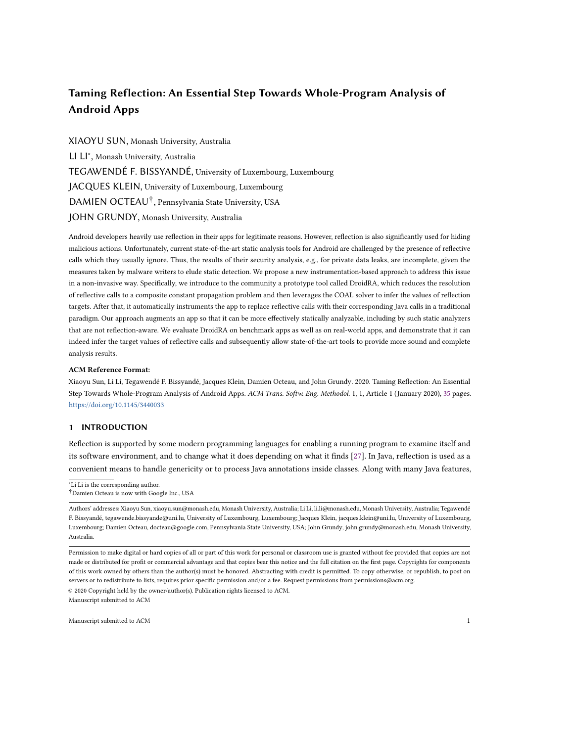```
1 public void submit ( String editorDecision ) {
2 Method action = TOSEM . class . getMethod ( editorDecision , String .class , String . class ) ;
3 String title = ...;
 4 String author = ...;
5 action.invoke(null, title, author);
6 }
7
8 public class TOSEM {
9 public static void publish ( String title , String authors ) {}
10 public static void accept ( int paperID ) {}
11 public static void reject ( int paperID ) {}
12 }
```
Listing 6. Example of an unresolvable reflective method.

API semantics and type systems in Java. In this work, we present a similar approach (i.e., essentially a subset of the inference system introduced by Li et al. [50] [51]) to "guess" the unknown reflective targets. The resolved targets are then integrated back to the results of the COAL solver to support further analyses. In this work, DroidRA rewrites the app by representing the resolved reflective calls with traditional Java calls. It subsequently generates a semantically equivalent new app for supporting reflection-free static app analyses.

More specifically, given a method called via reflection, ideally, we would need to infer the class for which the method belongs to, the method's name, the method's parameter numbers and types. Only by this we can be sure which method is called reflectively. Unfortunately, in practice, it may not be always possible to resolve all the aforementioned targets for a reflectively called method. In such cases where only partial targets are resolved, we propose to predict the unresolved targets based on domain knowledge i.e. their relationship to the resolved targets. In Android, we resort to the scheme defined in the app code, including that specified in the Android framework, to build domain knowledge. By statically scanning the code of a given app, we obtain the following code scheme i.e., domain knowledge: (1) the list of all involved classes; (2) given a class, except its name, we know all the methods and fields it declares, including its declared constructors i.e., methods that share the same name of their class; (3) given a method, we know the class it belongs to and the parameter numbers and types it contains; and (4) given a field, we know the class it belongs to and the type it is defined for.

To demonstrate the usefulness of leveraging the above domain knowledge, which can be obtained before the reflection analysis, for approximating the value of reflective targets, we use a concrete example to depict this refinement to COAL outputs. Listing 6 presents a sample code showing the basic usage of reflection in Android. In the beginning, a method is extracted from class TOSEM via reflection (line 2) and then reflectively invoked (line 5). Lines 8-12 enumerates the code structure of the TOSEM class. Unfortunately, since the method name of the reflective call is given as run-time input (line 1), our tool cannot infer its value correctly, resulting in "\*" for the method name from COAL analysis.

Nonetheless, except for the method name, our tool can correctly resolve the other relevant targets: (1) the method's class TOSEM and (2) the method has two parameters, and their types are both java.lang.String. We can then compare these resolved targets with our domain knowledge. The only match in our codebase would be the *publish* method, with the same class name and the same argument numbers and types (line 9). Therefore, we can confidently refine the "\*" value to *publish*, as the output of the COAL solver. Note that in some cases the refined results might not be unique, and in such a case we report all of the possible results.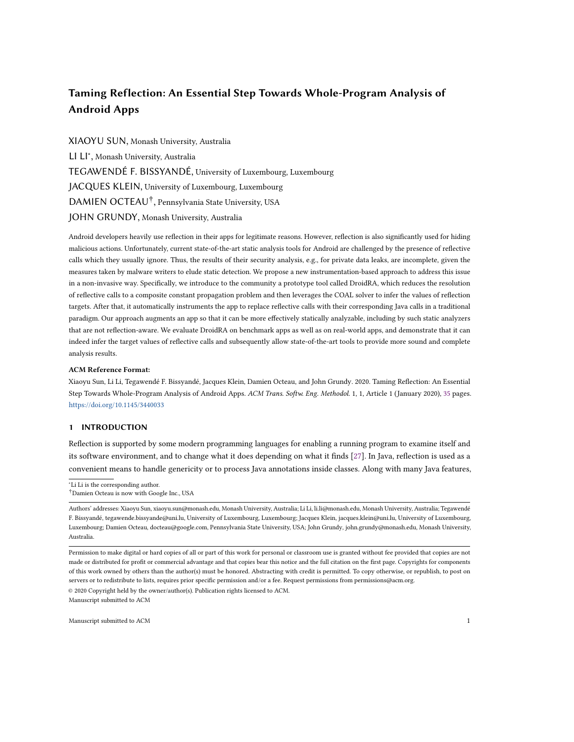Taming Reflection: An Essential Step Towards Whole-Program Analysis of Android Apps 17

```
1 Class c = Class.forName("de.ecspride.ReflectiveClass");
2 Object o = c. newInstance();
3 \# if (1 == BoM. check())
4 \# o = new ReflectiveClass();
5 m.invoke (o, imei);
6 # if (1 == BoM. check())
7 \# o. setImei(imei);
8 String s = (String) m2.invoke(o);
9 \# \text{ if } (1 == \text{BoM. check}() )10 \text{ } # \text{ } s = (\text{String}) \text{ o.getImei} ();
```
Listing 7. The boosting results of our motivating example (Augmented app code lines are highlighted by the # symbol).

# 4.3 BOM – Booster Module

The Booster Module for DroidRA takes as input an Android app represented by its Jimple instructions and the reflection analysis results yielded by the RAM module. The output of BOM is a new reflection-aware, analysis-friendly app where instrumentation has conservatively augmented reflective calls with appropriate standard Java calls. All reflective calls remain in the app code to conserve its initial behaviour for runtime execution, while standard calls are included in the call graph to allow only static exploration of once-hidden paths.

For example, in the case of Listing 1, the aim is to augment "<" $8=E$ >:  $4! \rightarrow 8$   $48^{\circ}$ " with ">" $84C \le 48^{\circ}$ " where > is a concrete instance of class  $34''42B'AB34'''45;42C8E4;7BB$  (i.e. explicitly instantiated with the  $=4F$  operator). Boosting approaches have been successful in the past in state-of-the-art frameworks for improving analysis of specific software by reducing the cause of analysis failures. TamiFlex [20] deals with reflection in standard Java software in this way, while IccTA [41] explicitly connects components, to improve Inter-Component Communication analysis.

Consider again our motivating example presented in Listing 1 to better illustrate the instrumentation done by BOM. Listing 7 presents the boosting results of Listing 1. Our instrumentation tactic is straightforward: for an instance where a reflection call initializes a class, we explicitly represent the statement with the Java standard new operator (line 4 in Listing 7). If a method is reflectively invoked (lines 5 and 8), we explicitly call it (lines 7 and 10). This instrumentation is possible thanks to the mapping of reflective call targets yielded by the RAM module. In this example the target resolution in RAM exposes that (1) object 2 is actually an instance of class ReflectiveClass; (2) object  $\lt$  represents method  $B4C < 48$  of class ReflectiveClass with a String parameter  $8 < 48$ ; (3) object <2 represents method  $64C < 48$  of class ReflectiveClass.

This example illustrates why reflection target resolution is not a simple string analysis problem. In this case, the support of composite object-analysis in RAM is needed: In line 1 of Listing  $7, 2$  is actually an object, yet the boosting logic requires information that this represents class name "ReflectiveClass".

Note also that the new injected code is always guarded by a conditional to construct a guarded control flow path for the traditional calls. The *check()* method is declared in an interface whose implementation is not included for static analysis, otherwise a precise analyzer could have computed its constant return value. However for run-time execution, check() always returns false, preventing paths added by BOM from ever being executed. Thus, this predicate keeps the new injected code from changing the app behavior, while all sound static analysis can safely assume that the path can be executed.

Additional Instrumentations. BOM performs some additional instrumentations that are not directly related to the Reflection problem. Nevertheless, these instrumentations are useful to improve the completeness of other static analyses. The goal of our approach is to enable existing analyzers such as FlowDroid to perform reflection-aware static Manuscript submitted to ACM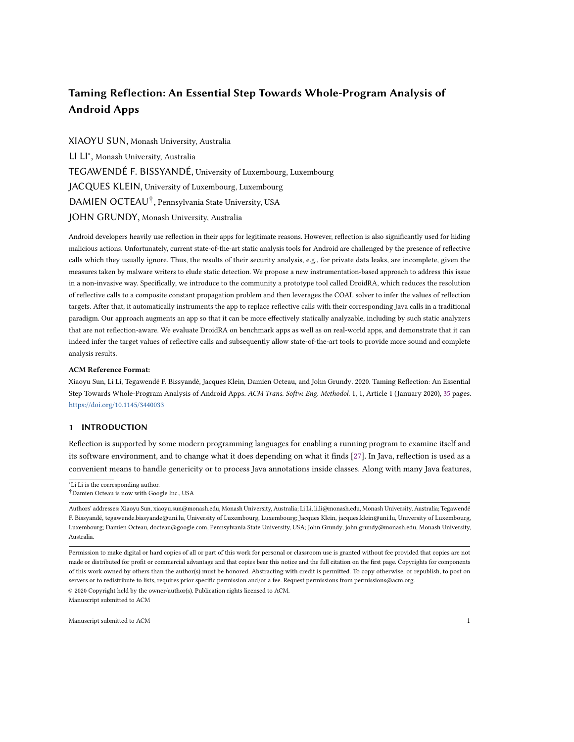analysis in a way that improves their security results. For instance, FlowDroid aims to detect data leaks with taint-flow static analysis. In the presence of dynamic class loading, FlowDroid stops its analysis when a class has to be loaded. We explained above how DroidRA tackles this problem with its JPM module (cf. Section 4.1). However, not all classes that have to be loaded are actually accessible. One reason is that some files are encrypted, which prevents the analysis from statically accessing them. For example, app com.ivan.oneuninstall contains an archive file called Grid\_Red\_Attract.apk, which contains another archive file called  $t\mu zip$  that has been encrypted. Because it is unrealistic to implement a brute-force technique to find the password, we simply exclude such apps from our analysis. However, to allow tools such as FlowDroid to continue their analyses, we use an instrumentation that conservatively solves this problem. We explicitly mock all the classes, methods and fields that are reported by the RAM module<sup>7</sup> but do not exist in the current class path i.e. they are neither present in the initial code of the apk, nor in the code "extracted" by the JPM module.

Consider the instruction "result=o.inc(a\_1, a\_2)", where the method  $\ell=2$  is not accessible and where  $0_1$ is tainted. Without any modification of this code, a standard analyzer would stop its analysis. Our instrumentation consists of creating the method  $\ell=2$  – and its associated declaring class if required – in a way that the CO  $\ell=0$ of  $0_1$  and  $0_2$  can be propagated. Concretely, the instrumented method  $\ell=2$  will contain the following instruction:  $A4CDA = 1 \text{ $1942C} \cdot 10_1 \text{ $T$} > (CA8 = 610 \text{ g}) \cdot 0_2 \text{ $T$} > (CA8 = 6100 \text{ g})$ , assuming that the type of  $A4BD/C$  is \$1942C.

# 5 EVALUATION

Our goal is to enable existing state-of-the-art Android analyzers to perform reflection-aware static analysis, thus improving the soundness and completeness of their approaches. Our evaluation of DroidRA thus investigates whether this objective is fulfilled. To that end, we attempt to answer the following research questions:

- RQ1 What is the coverage of reflection calls that DroidRA identifies and inspects?
- RQ2 How does DroidRA compare with its earlier version for resolving reflective call targets in Android apps?
- RQ3 How does DroidRA compare with state-of-the-art approaches for resolving reflective call targets in Android apps?
- RQ4 Is the customization function of DroidRA useful for improving the performance of reflection analysis of Android App?
- RQ5 Does DroidRA support existing static analyzers to build sounder call graphs of Android apps?

RQ6 Does DroidRA support existing static analyzers to yield reflection-aware results?

## 5.1 RQ1: Coverage of Reflective Calls

The goal of DroidRA's app reflection analysis is to provide the necessary information for analysts, other approaches, to better determine how reflections are used by an Android app. Thus, instead of considering all reflection-related methods, in this experiment, we select such methods that are most interesting for analysts. These include: 1) methods that acquire Method, Constructor and Field objects. Those method call sequences are used in our common pattern in Figure 1 and are critical as they can be used by malware e.g. to exchange sensitive data between normal explicit code and reflectively hidden code parts. For these calls, we perform a composite analysis and inspect the related class names and method/field names if applicable; and 2) methods that contain at least one string parameter. For these methods, we explore their string parameter's possible values.

 ${\rm ^7This}$  means that we only take into account reflective calls.

Manuscript submitted to ACM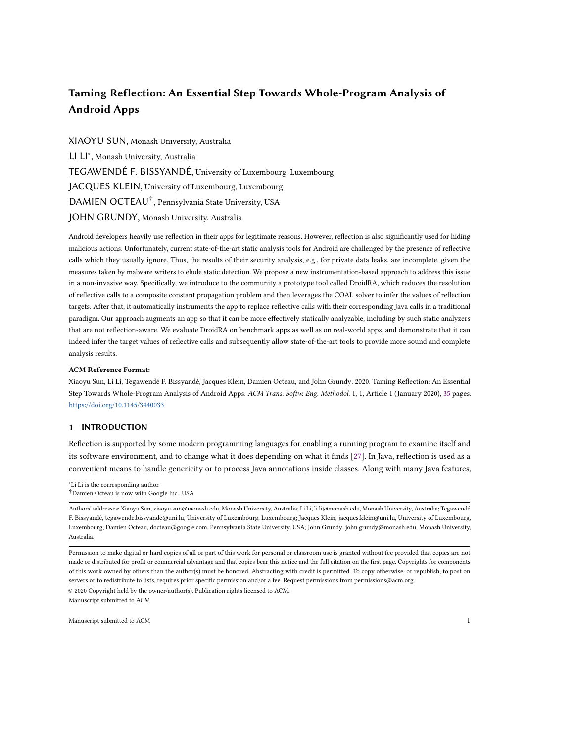To investigate DroidRA's coverage of an app's reflection calls, we randomly select 1,000 apps from Google Play to set up our experiment. All 1,000 apps were released after 2018 (i.e., based on their last modified date). Instead of reusing the original corpus of 500 apps that are selected in the earlier conference version of this paper, we use Google Play to form the new dataset because we want to evaluate our approach based on the latest apps. Our original 500 apps were quite old and selected in 2015 when we were working on the first version of DroidRA. From each app with reflective calls, we extract two key items of information:

- (1) Reached: The total number of reflective calls that are identified by our RAM reflection analysis module; and
- (2) Resolved: The number of reflective calls that are successfully resolved i.e., the values of relevant class, method and field names can be extracted by our reflection analysis.

Our experimental results are illustrated in Figure 4, which shows the performance of DroidRA in reaching reflective calls from the dummy main, and in resolving their targets. Unfortunately, as a static analyzer, DroidRA shares the same limitation of any other static analysis approaches – it cannot finish the analysis within limited time and hardware resources. Indeed, as experimentally demonstrated by Avdiienko et al. [16], their approach sometimes cannot finish the analysis of a single app in 24 hours on a computer server with 730 GB of RAM and 64 Intel Xeon CPU cores. In our experiment, we launch our experiment on a rather small server (with 32 GB memory and 28 CPUs), and a short timeout (with just 10 minutes).

Among the randomly selected 1,000 apps, 152 of them cannot be successfully analyzed by DroidRA. Some representative failing reasons include (1) exceptions of DroidRA due to malformed Android apps (e.g., no DEX file included), (2) exceptions of Soot and COAL, the underlying tools leveraged by DroidRA, (3) timeout errors, for which the analysis cannot finish in 10 minutes, etc. Therefore, in this experiment, we report the experimental results based on the remaining 848 apps. Overall, among the 848 successfully analyzed apps, we extract 13,073 reflection calls, among which the number of resolved reflective calls is 11,646, giving a resolution rate of 89%. This high rate experimentally shows the effectiveness of DroidRA in resolving reflective calls for Android apps.

The missing resolutions are mainly explained by: 1) the limitations of static analysis, where runtime values (e.g., user configuration or user inputs) cannot be solved statically at compile time; and 2) the limitations of our COAL solver, e.g. currently it is not able to fully propagate arrays of objects, although we have provided a limited improvement on this.

Regarding the accuracy of our approach, we go one step further to calculate the accuracy of our approach in pinpointing reflective calls in Android apps. Unfortunately, there is no known ground truth available for evaluating the usage of reflective calls in Android apps. We have to resort to a manual process to calculate the accuracy. In particular, among the 848 successfully analyzed apps, we randomly select 10 of them and manually look into their disassembled code to check whether the reported reflective calls are actually leveraged or not. Table 3 enumerates the selected apps (package name and version code), the analysis results of DroidRA, and the confirmed results of our manual analysis. In total, DroidRA can statically reach 437 reflective calls, among which 369 of them are successfully resolved while 68 of them remain to be "\*" (i.e., fails to be resolved by the conference version of DroidRA and also fails to be optimized by the extended version). Among the resolved calls, our manual analysis reveals that 24 of them are inaccurate results, giving an accuracy of 93.4% (i.e., 345/369). We consider a result as inaccurate if (1) it contains more targets than it actually represents (i.e., in addition to the correct results, there are also false-positive results<sup>8</sup>), or (2) the resolved targets are incorrect (i.e., false-positive results). The latter case is mainly relevant to reflection-based field accesses. DroidRA fails

 ${}^{8}$ False-positive usually refers to a result that indicates a given condition exists when it does not. In this work, it refers to such results that are reported by our approach as such but are not presented in the corresponding app.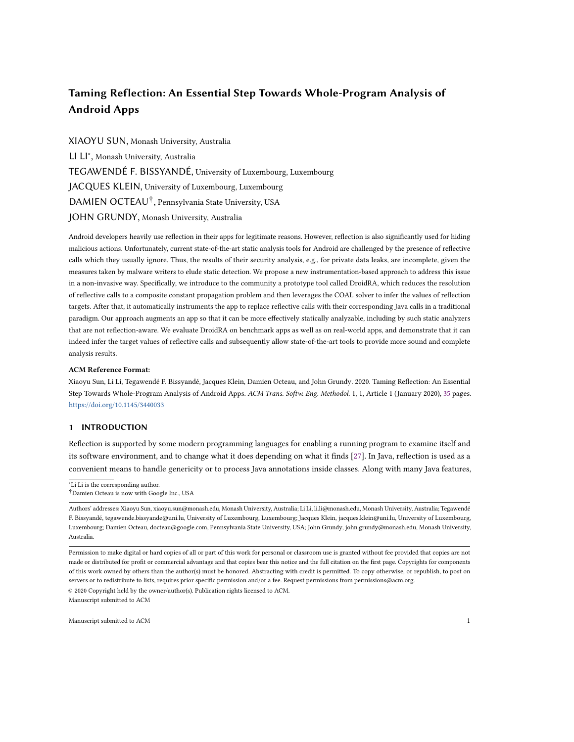

Fig. 4. Results of the coverage of reflection methods.

to correctly pinpoint the reflectively accessed fields because Java fields do not provide additional information (such as parameter numbers and types, return types in method calls) to help in inferring their possible values. Overall, apart from a few inaccurate results, our approach (along with the newly introduced improvements) is useful for resolving reflection targets in Android apps.

| Table 3. The experimental results of the manually checked apps. |          |  |                    |             |                        |  |  |  |
|-----------------------------------------------------------------|----------|--|--------------------|-------------|------------------------|--|--|--|
|                                                                 | App Name |  | Version #. Reached | #. Resolved | #. Resolved Unresolved |  |  |  |

| App Name                                      | Version     | #. Reached       | #. Resolved      | #. Resolved | Unresolved |
|-----------------------------------------------|-------------|------------------|------------------|-------------|------------|
|                                               |             | Reflection Calls | Reflection Calls | (Accurate)  | (i.e., "") |
| bhakti.sagar.aroma.clock.lwp                  | 1.4         | 60               | 48               | 41          | 12         |
| com.magzter.lichfieldgazette                  | 4.0         | 41               | 39               | 37          | 2          |
| com.jb.gokeyboard.theme.tmegreenkeyboardskkin | 4.172.54.79 | 22               | 21               | 19          |            |
| bhakti.sagar.aroma.clock.lwp                  | 1.0         | 40               | 27               | 24          | 13         |
| au.get.freshops                               | 1.2.11.2    | 57               | 50               | 48          |            |
| com.icontrolenergy.app                        | 2.1.15      | 69               | 61               | 57          | 8          |
| com.hhgregg.endlessblitz                      | 15          | 33               | 29               | 29          |            |
| com.andromo.dev456237.app434261               | 2.0         | 48               | 35               | 32          | 13         |
| info.rguide.zzmtr                             | 6.5.4       | 29               | 29               | 28          |            |
| com.justinleingang.khw                        | 1.0.0       | 38               | 30               | 30          | 8          |
|                                               | Total       | 437              | 369              | 345         | 68         |

#### 5.2 RQ2: Comparison with the earlier version of DroidRA

As revealed in the previous subsection, compared to the original version of DroidRA (as reported in the conference paper), which achieves only 81.2% of resolving rate, the new version of DroidRA has exceeded the original version by 7.88%. This evidence demonstrates the effectiveness of our improvements newly contributed to DroidRA. In the second research question, we now give more details about the performance growth.

In this extended version, we have improved DroidRA from three angles: (1) approximating possible values for such targets that cannot be resolved originally; (2) taking Fragments into consideration for reflection analysis; and Manuscript submitted to ACM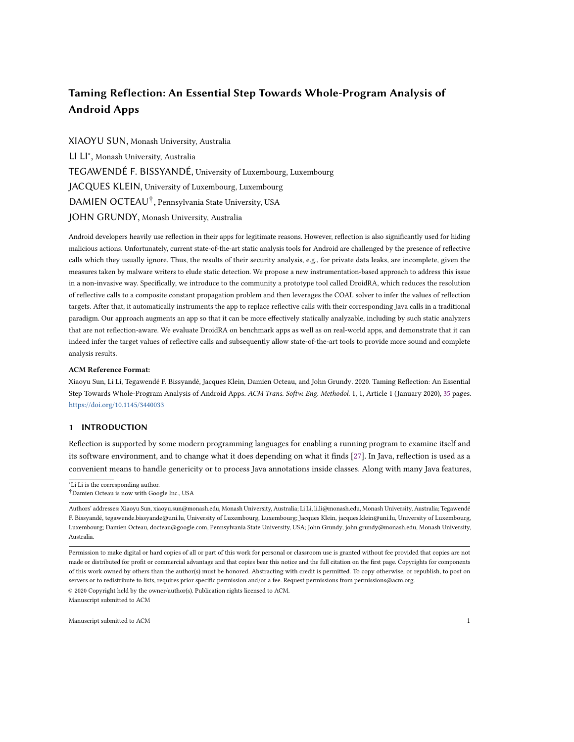| Tool              | ' # Analvzed | # Reached | # Resolved                          | Resolved | Common | # Reached        | # Resolved         | Resolved |
|-------------------|--------------|-----------|-------------------------------------|----------|--------|------------------|--------------------|----------|
| Version           | Apps         |           | Reflective Calls Reflective Targets | Rate     | Apps   | Reflective Calls | Reflective Targets | Rate     |
| DroidRA (current) | 848/1.000    | 13.073    | 11.646                              | 89.1%    | 742    | 12.481           | 11.349             | 90.9%    |
| DroidRA (earlier) | 819/1.000    | 11.952    | 9.375                               | 78.4%    | 742    | 10.611           | 8.451              | 79.6%    |

Table 4. The comparison results between the current version and the conference version of DroidRA.

(3) providing a means to customize the code to be analyzed. The first two improvements aim at enhancing the static analysis capability of DroidRA: the first improvement attempts to increase the resolving rate of reflection targets, while the second improvement aims at expanding the coverage of reflective calls that can be reached by DroidRA. In this research question, we will mainly evaluate the effectiveness of the first two improvements. The last improvement, which mainly looks at improving the performance of DroidRA in terms of time and memory usages, will be evaluated later in an independent research question.

To set up the experiments for comparison, we launch the earlier version of DroidRA on the same 1,000 apps selected in answering the RQ1. The experiments are executed under the same environment, i.e., the same server and the same timeout. Table 4 summarizes the experimental results. As shown in the second column, a similar number of apps are successfully analyzed by the two versions of DroidRA. There are 29 apps that are more analyzed by our extended version, compared to that of the conference version. This result is expected, as we have introduced into DroidRA various improvements. Some changes have been made to reduce the time and memory complexities, which allow DroidRA to analyze more apps under the same timeout, significant improvements are made to improve the analysis capabilities (e.g., covering more code). Although this increases the time and memory complexities, our extended version of DroidRA achieve better performance due to the fact that more number of apps can be successfully analyzed. The number of reached and resolved reflective calls (i.e., 13,073 and 11,646, respectively (or 89.1% resolving rate)) is larger than that of the conference version, which is respectively 11,952 and 9,375 (or 78.4% resolving rate). This result experimentally demonstrates the effectiveness of our improvements for DroidRA towards resolving reflective calls in Android apps.

If we only consider the common apps (742 apps as shown in the fifth column) that are successfully analyzed by both versions, the reached and resolved reflective calls of the current version are significantly larger than that yielded by the earlier version (as shown in the sixth and seventh columns). Interestingly, as far as reflective calls concerned, the numbers of reached reflective calls collected from the new dataset (cf. Fig. 5 (a)) are also much larger than that obtained from the original 500 apps. This result suggests that the latest Android apps may leverage more reflective calls that older Android apps. As illustrated in Fig. 5, the distribution of the number of reached and resolved reflective calls in each app yielded by the earlier version is also significantly less than that of the current version. This significance is confirmed by Mann-Whitney-Wilcoxon (MWW) tests, for which the resulting *p*-values are both less than  $U = 0$  001. Given a significance level  $U = 0.001$ , if ? E0;D4 < U, there is one chance in a thousand that the difference between the two datasets is due to a coincidence.

We now go one step further to break down the experimental results brought by the first two tool improvements. Using the newly introduced approximation model i.e., the first improvement, 1,068 reached reflective targets – which could not be resolved by the earlier version of DroidRA – are now resolved by DroidRA. This improvement allows DroidRA to additionally resolve 10% of its reached reflective calls (over 90%), which experimentally demonstrates that the approximation model is effective for DroidRA to resolve the possible targets of reflective calls.

Second, the inclusion of Fragments i.e. the second improvement, enables DroidRA to additionally discover 1,870 reflective calls, among which 1,815 (or 97.0%) of them are further resolved by the current version of DroidRA. This Manuscript submitted to ACM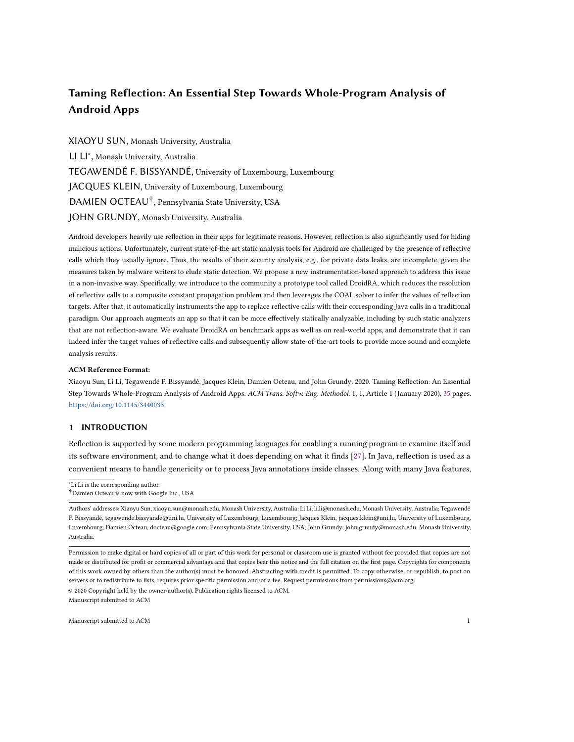

Fig. 5. Distribution of the number of reached and resolved reflection calls between the current version (i.e., DroidRA) and the conference version (i.e., DroidRA(c)) of DroidRA.

evidence further empirically shows that the second improvement we integrate into DroidRA is useful and practical. Note that the number of additionally reached reflective calls brought by Fragments is quite small compared to the total number of reached reflective calls. Aiming at understanding the possible reasons behind this, we check how are Fragments used by Android apps and how often do they access reflective calls. Among the 742 common apps, a scan of their code reveals that 419 of them have leveraged Fragments, suggesting that Fragment has been frequently leveraged by Android apps and thereby should not be ignored when statically analyzing Android apps. Moreover, among the 419 apps, 107 of them have actually accessed reflective calls in Fragments. This evidence further shows that there is a large portion of apps accessing reflective calls over Fragments, which demonstrates the necessity of taking Fragments into consideration for reflection analysis of Android apps.

#### 5.3 RQ3: Comparison with the state-of-the-art

We compare our approach with some state-of-the-art works targeting the problem of resolving reflective targets. Several other proposed approaches include: Smaragdakis et al. [64], SOLAR [51], Elf [50], EdgeMiner [23], Ripple [72], DL2 [68], StaDynA [73], DINA [10], the Checker framework [17]. Unfortunately, Smaragdakis et al., SOLAR, and Elf are designed for analyzing Java applications and hence cannot be directly applied to analyze Android apps. Indeed, as replied by the authors of SOLAR to our request about launching their approach to analyze Android apps, SOLAR, at the moment, only theoretically works for Android apps. Additional non-trivial extensions are needed to apply it for this purpose. Therefore, we cannot compare our approach with these Java-focused analyzers.

State-of-the-art tools EdgeMiner and Ripple, although being proposed for Android apps, do not specifically focus on resolving reflective calls in Android apps. Indeed, the objective of EdgeMiner is to mine the Android framework for pinpointing implicit control flow transitions. It does not consider the whole Java reflection mechanism when conducting the analysis. Ripple only attempts to resolve reflection for Android apps in incomplete information environments. We believe it is not fair to compare DroidRA against these two approaches. The authors of Ripple have endorsed our decision after we communicated with them in this regard.

Another three tools proposed by our fellow researchers, namely DL2, and StaDynA, and DINA, combine both static and dynamic analyses to analyze Android apps. These three tools do not directly focus on the analysis of reflective calls. All of them are proposed for detecting security issues, such as privacy leaks hidden by dynamically loaded code. Manuscript submitted to ACM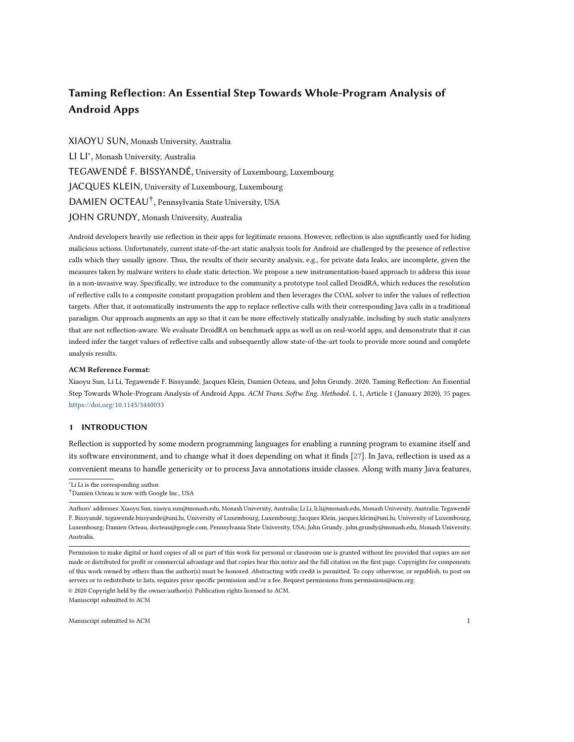Nonetheless, since dynamically loaded classes have to be accessed via reflection, we consider these approaches are relevant for comparison with our approach. Unfortunately, both StaDynA and DL are not made publicly available and we can only compare our approach with DINA in this work.

Finally, the approach proposed by Barros et al. [17] is another closely related work to ours. Their work presents an approach, referred to as Checker, to address reflection in the Information Checker Framework (IFC) [25]. This tool has been made publicly available in the community. We also compare Checker with our DroidRA approach.

The Checker framework has been evaluated based on a dataset consisting of 10 real-world apps crawled from the F-Droid open-source apps repository [5]. Checker has been evaluated by providing statistics on methods and constructors related to reflective invocations. We thus consider the same settings for the comparison. Table 5 lists the 10 apps and provides comparative results for Checker, DINA, and DroidRA. It is worth noting that, by comparing with Checker, we apply DroidRA directly on the bytecode of the apps while Checker is applied on source code. Additionally, our approach does not need extra developer efforts while Checker needs manual annotations, e.g., one has to pinpoint good places to put appropriate annotations. When comparing with DINA, our approach is purely static, while DINA is a hybrid approach combining advantages of both static and dynamic analyses.

|                |         | Checker      |         | <b>DINA</b>  | <b>DroidRA</b> |              |  |
|----------------|---------|--------------|---------|--------------|----------------|--------------|--|
| App            | methods | constructors | methods | constructors | methods        | constructors |  |
| AbstractArt    |         |              |         |              |                |              |  |
| arXiv          | 14      |              | 13      |              | 14             |              |  |
| Bluez IME      |         | 2            |         |              | 4              |              |  |
| ComicsReader   |         |              |         |              |                |              |  |
| MultiPicture   |         |              |         |              |                |              |  |
| PrimitiveFTP   | റ       |              |         |              |                |              |  |
| RemoteKeyboard |         |              |         |              |                |              |  |
| SuperGenPass   |         |              |         |              |                |              |  |
| VimTouch       |         |              |         |              |                |              |  |
| VLCRemote      |         |              |         |              |                |              |  |

Table 5. The comparison results of Checker, DINA, and DroidRA.

U Reached but not resolved.

 $V$  One from dead code.

 $W$  Contain a reflective call that is overlooked by DroidRA.

Overall, as shown in Table 5, on this dataset DroidRA resolves 9 more methods/constructors than Checker. For the app RemoteKeyboard, DroidRA missed one method and Checker reports that it is not able to resolve it either. On further investigation, we observe that it is impossible for static approaches to resolve the reflective call in this case as the reflection target is read from configuration files at runtime. Indeed, as illustrated in Listing 8, the class name of the reflective method is loaded from configuration file "telnetd.properties". For app VimTouch, DroidRA refuses to report a reflective call, namely method Service.stopForeground, because its caller method ServiceForegroundCompat.stopForeground is not invoked at all by other methods. It thus becomes unreachable from our entry method. For app ComicsReader, DroidRA has resolved one more reflective method than Checker. We manually verify in the source code that the additional reflective call is a true positive of DroidRA. However, with ComicsReader, DroidRA missed one method<sup>9</sup>, although it resolved two additional reflective calls that Checker missed. This missed method is actually located in a

<sup>9</sup>View.setSystemUiVisibility().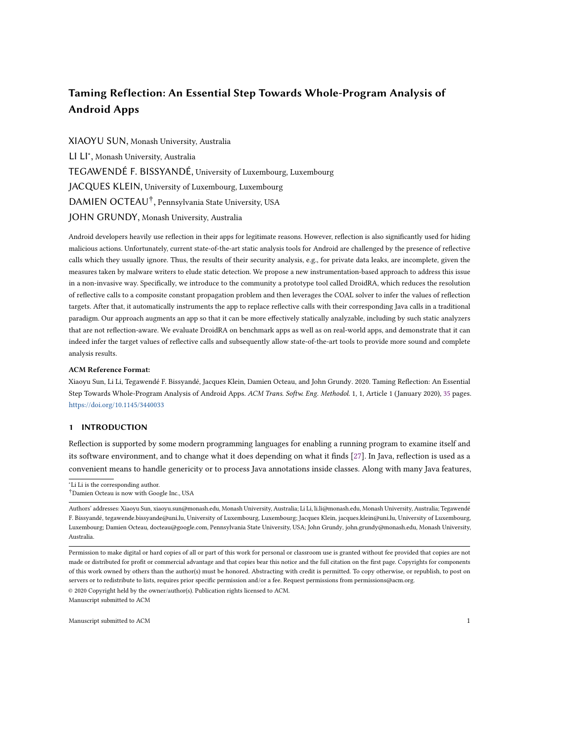```
1 public class RemoteKeyboardService extends InputMethodService implements
      OnKeyboardActionListener {
2 public void onCreate () {
3 InputStream inputStream = assetManager.open("telnetd.properties");
4 props. load (inputStream);
5 if (telnetServer == null) {
6 telnetServer = TelnetD. createTelnetD (props);
7 }}
8 public static TelnetD createTelnetD ( Properties main ) throws BootException {
9 TelnetD td = new TelnetD () ;
10 td. prepareShellManager (main);
11}}
12 public class ShellManager {
13 // key is read from property configuration files
14 public Shell getShell (String key) {
15 Object obj = shells.get(key);
16 if( obj instanceof Class ) {
17 Class shclass = (Class) obj;
18 Method factory = shclass . getMethod (" createShell ", null ) ;
19 myShell = (Shell) factory.invoke(shclass, null);
20 }}
```
Listing 8. Simplified source code extracted from app RemoteKeyboard.

UI-gadget class which is not an Android component (e.g., Activity). Since our dummy main only considers Android components of an app as potential entry-points, DroidRA failed to reach this method from its dummy main. Last but not the least, we have found 10 more constructors located in libraries embedded in the studied apps. Because Checker only checks the source code of apps, it could not reach and resolve them.

When comparing DroidRA to DINA on the same dataset, DroidRA is able to resolve nine more reflective methods or constructors. This is expected as DINA is a hybrid approach, which relies on dynamic testing to resolve reflective calls. More specifically, the dynamic module of DINA is realized via monkey [6], the default dynamic testing tool provided by Google. It is known that the monkey tool has code coverage limitations, where certain codes in the app may not be able to be explored, resulting in less reflective calls resolved. Nevertheless, dynamic analysis techniques also come with advantages that cannot be simply achieved by static analysis. Indeed, as shown in Table 5, DINA has additionally resolved two reflective calls. One is related to the reflective call lying in the RemoteKeyboard app we discussed previously. This reflective call involves external configuration files that cannot be simply parsed statically. The other case is related to the ComicsReader app. DINA resolves a reflective call that has been overlooked by both DroidRA and Checker. This reflective call, as shown in Listing 9, is achieved in two steps where the reflectively accessed method is stored as a class attribute (i.e., mSetSystemUiVisibility) and then invoked in another class (line 11). This case is non-trivial to be handled by static analysis approaches in general as it requires to model the invocation sequence of the code. This experimental evidence shows that dynamic analysis can indeed be useful to supplement the capabilities of static analyses. As of future work, we plan to also integrate dynamic analysis into DroidRA to improve its performance in resolving reflective calls in Android apps.

## 5.4 RQ4: Usefulness of the customized reflection analysis

We introduced three main improvements to DroidRA. The second research question has empirically demonstrated the effectiveness of the first two improvements (the inclusion of Fragments and the approximation of unresolved targets). Manuscript submitted to ACM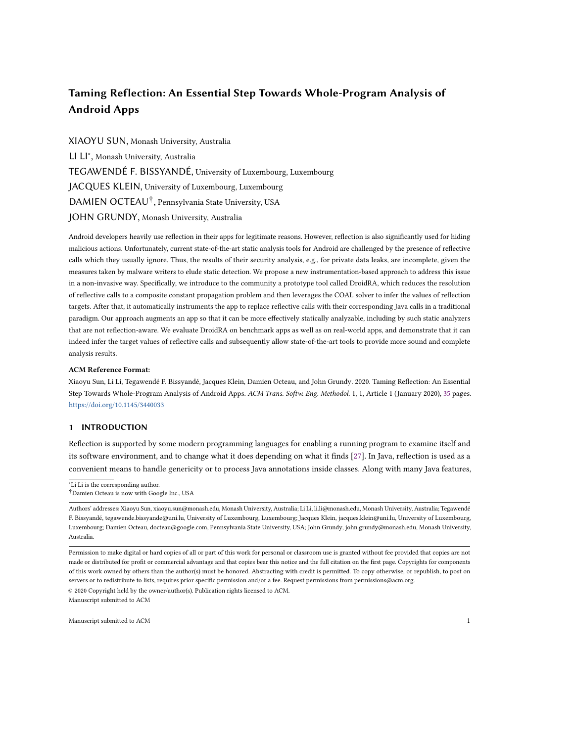Taming Reflection: An Essential Step Towards Whole-Program Analysis of Android Apps 25

```
1 public class FullImageView extends View {
2 private Method mSetSystemUiVisibility ;
3 public void initFullImageView () {
    4 try {
5 mSetSystemUiVisibility = getClass () . getMethod (" setSystemUiVisibility ",
      Integer . TYPE ) ;
6 } catch (NoSuchMethodException e) {}
7 }
8 public boolean setFullScreen ( boolean fullscreen ) {
9 if ( mSetSystemUiVisibility == null )
10 return false ;
11 mSetSystemUiVisibility . invoke (this , newVis ) ;
12\,13}
```
Listing 9. Simplified source code extracted from app ComicsReader.

We now empirically evaluate the third improvement, which enables customized reflection analysis for Android apps, aiming at improving the time and memory complexities of the analysis of DroidRA.

For the sake of simplicity to demonstrate the usefulness of the customization capability, we introduce a simple customization strategy to DroidRA. Since the objective of DroidRA in this work is to resolve reflection targets in Android apps, our customization enforces DroidRA to only analyze components that actually use reflective calls. In other words, if a component is known to not involve reflection, it will not be included for analysis. To implement this, we have implemented a static analyzer to check whether a component accesses reflection or not. This checking nonetheless is not straightforward as components may not directly access reflective calls but access other classes or libraries that may further access reflective calls. We make sure that our static analyzer also checks such indirect reflective calls through an inter-procedural static analysis, implemented on top of Soot.

By applying the aforementioned simple customization strategy, we aim at evaluating the customization capability of DroidRA in two aspects:

(1) reducing the time and memory usage while achieving the same results in terms of resolving reflective calls in Android apps.

(2) being able to successfully analyze Android apps that cannot be done otherwise. In this aspect, we apply our customization strategy to the 152 apps that cannot initially be analyzed by DroidRA as reported in RQ1 experiments.

For the first aspect, we apply our customization strategy to the 848 apps that have already been successfully analyzed by DroidRA, on the same server with the same 10 minutes timeout. We then compare the obtained results with the original results yielded by DroidRA. Fig. 6 illustrates these reflection analysis results. The distribution of the number of reached and resolved reflection calls is generally the same, suggesting that our customization strategy does not impact the underlying reflection analysis of DroidRA.

Fig. 7 shows that while keeping the same reflection analysis results, the call graph size of the current version without using a customization strategy is significantly larger than that of the version with customization, confirmed by a MWW test. The call graph size is critical to the time and memory complexities of the reflection analysis as all the methods reached on the call graph need to be statically visited and explored to uncover potential reflective calls. This empirical evidence confirms the effectiveness and usability of the customization capability towards reducing the time and memory complexities while achieving more or less the same reflection analysis results.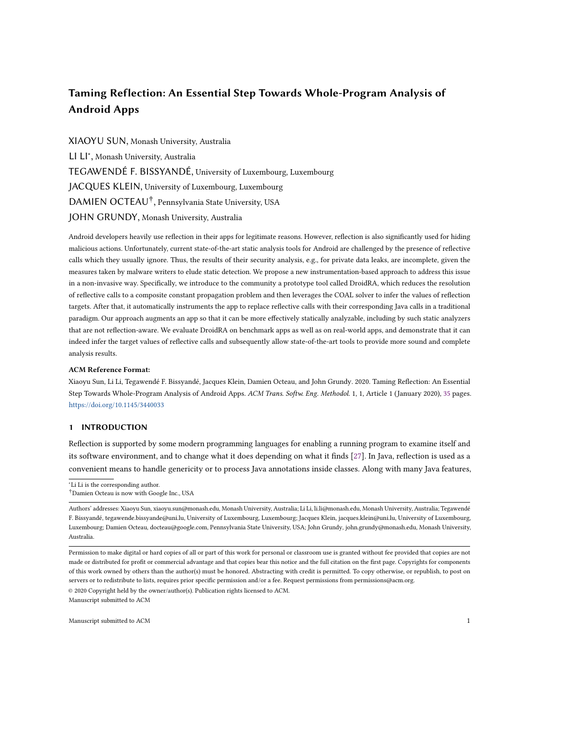

Fig. 6. Distribution of the number of reached and resolved reflection calls between the current version (i.e., DroidRA) of DroidRA and the version with dedicated customization (i.e., DroidRA(DC)).



Fig. 7. Distribution of the size of call graph between DroidRA (without involving customization strategy) and the version with dedicated customization (i.e., DroidRA(DC)).

Regarding the second aspect, among the 152 apps that could not initially be analyzed by DroidRA, by employing the customization strategy to DroidRA, under the same execution environment (i.e., same server and timeout), 57 of them can now be successfully analyzed. This leads to 1,368 newly reached reflective calls, among which 1,280 of them are further successfully resolved. This experimental evidence further demonstrates the usefulness of the customization capability we have introduced, as the third improvement, to DroidRA.

#### 5.5 RQ5: Call Graph Construction

An essential step of performing precise and sound static analysis is to build at a complete method call graph (CG) for an app. This will be used by static analyzers to visit all the reachable code, and thus perform a sound analysis. Indeed, methods not included in the CG will never be analyzed since these methods are unreachable from the analyzer's point of view. We investigate whether our DroidRA is able to enrich an app's CG. To that end we build the CG of each of the apps before and after they are instrumented by BOM. Our CG construction experiments are performed with the popular Soot framework [36]. We use both the CHA [24] algorithm, which is the default algorithm for CG construction in Soot, Manuscript submitted to ACM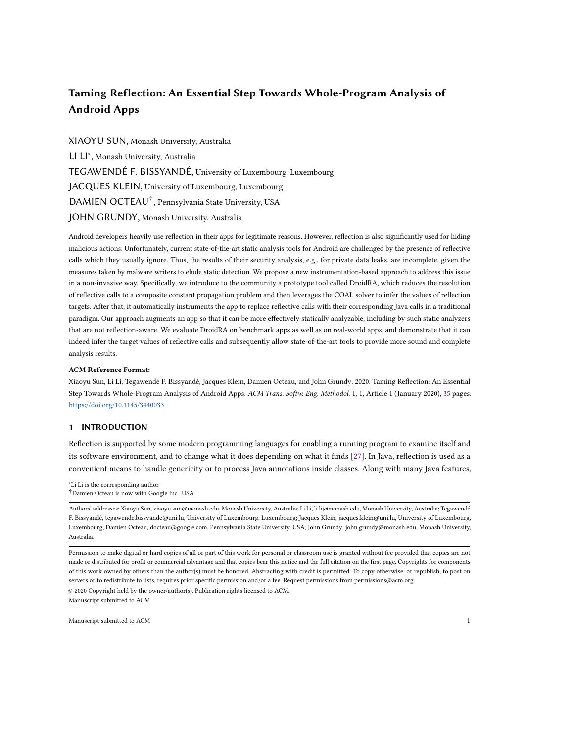and the more recent Spark [37] algorithm which was demonstrated to improve over CHA. Spark was demonstrated to be more precise than CHA, and thus producing fewer edges in its constructed CG.

In our study dataset of 500 apps, on average for each app DroidRA improves by 3.8% and 0.6% the number of edges in the CG constructed with Spark and CHA respectively. Since CHA is less precise than Spark, CHA yields far more CG edges, and thus the proportion of edges added thanks to DroidRA is smaller than for Spark.

We highlight the case of three real-world apps from our study dataset in Table 6. The CG edges added (Diff column) vary between apps. We have further analyzed the added edges to check whether they reach sensitive API methods<sup>10</sup> (ActivityManager.getRunningTasks(int)) which are protected by a system permission (GET\_TASKS). The recorded number of such newly reachable APIs (Perm column) further demonstrates how taming reflection can allow static analysis to check the suspicious call sequences that are hidden by reflective calls. We confirmed that this app is flagged as malicious by 24 anti-virus products from VirusTotal.

Table 6. The call graph results of three apps we highlight for our evaluation. Permission column means the number of call graph edges that are actually empowered by DroidRA and are accessing permission protected APIs.

| Package         | Algorithm  | Original | DroidRA | Difference | Permission |
|-----------------|------------|----------|---------|------------|------------|
| com.boyaa.bildf | Spark      | 714      | 22,867  | 22,153     | 3          |
|                 | <b>CHA</b> | 172,476  | 190,436 | 17.960     | 51         |
| org.bl.cadone   | Spark      | 694      | 951     | 257        | 0          |
|                 | <b>CHA</b> | 172,415  | 187,079 | 14,664     | 16         |
| com.audi.light  | Spark      | 6.028    | 6.246   | 218        | 0          |
|                 | CHA        | 174,007  | 174,060 | 53         | 0          |

Consider the example of app org.bl.cadone which further highlights the improvement in CG construction by DroidRA. We have computed the call graph (CG) of this app with CHA and, for the benefit of presentation clarity, we have simplified it into a class dependency graph (CDG). All CG edges between methods of two classes are transformed into a single CDG edge, where all nodes representing methods from a single class are merged into a single node representing this class.

Figure 8 presents the CDG with 14,664 new edges added after applying DroidRA. Black edges represent nodes and edges that were available in the original version of the app. The new edges (and nodes) have been represented in green. Some of them reach sensitive APIs and are highlighted in red. We found that among the 8 permissions that protect the 16 sensitive APIs (included in 8 classes) that are now reachable, 6 (i.e., 75%) are of the dangerous level [1]. This further suggests that the corresponding reflective calls were meant to hide dangerous actions.

#### 5.6 RQ6: Improvement of Static Analysis Results by DroidRA

We use the state-of-the-art tool FlowDroid and its ICC-based extension called IccTA for assessing to what extent DroidRA can support static analyzers in yielding reflection-aware results. Our experiments are based on benchmark apps, for which the ground truth of reflective calls is known, and on real-world apps. On the real-word apps, we check whether the runtime performance of DroidRA will not prevent its use in complementing other static analyzers.

DroidRA on Benchmark Apps. We assess the efficacy of DroidRA on 13 test case apps for reflection-based sensitive data leaks. 4 of these apps are from the Droidbench benchmark where they allowed to show the limitations of FlowDroid and IccTA. We further consider 9 other test cases that include other reflective call patterns (the top used sequences , cf.

 $^{10}\mathrm{The}$  list of sensitive API methods are collected from PScout [15].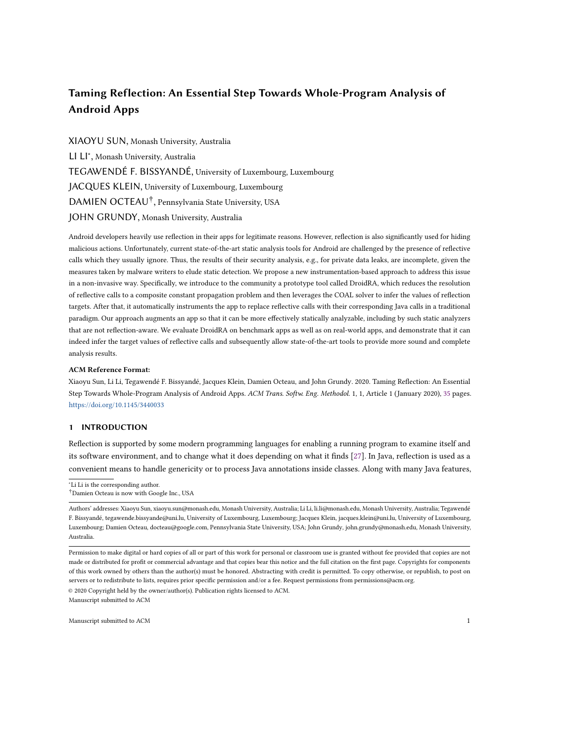

Fig. 8. The class dependency graph (simplified call graph) of app org.bl.cadone (based on CHA algorithm). Black color shows the originally edges/nodes, green color shows edges/nodes that are introduced by DroidRA while red color shows new edges that are further protected by permissions.

Table 2). Since the test cases are handcrafted, the data leak (e.g., leak of device id via SMS), are known in advance. In 12 of the apps, the leak is intra-component, while in the  $11<sup>C</sup>$  it is inter-component.

Table 7 provides details on the reflective calls and whether the associated data-leak is identified by the static analysis of IccTA and/or DroidRA-supported IccTA. Expectedly, IccTA alone only succeeds on the first test case, Reflection<sub>1</sub> in DroidBench. This is where the reflective calls are not in the data-leak path, thus not requiring a reflective call resolution for the taint analysis to detect the leak. However, IccTA fails on all of the other 12 test cases. This was expected since IccTA is not a reflection-aware approach. When reflection is resolved in the test cases by DroidRA, IccTA gains the ability to detect a leak on 11 out of 12 test cases. In test case 13, the reflective call is not resolved because the reflection method getFields() returns an array of fields that our current DroidRA implementation of constant propagation cannot manage to resolve. Indeed, we have enhanced COAL with limited support to propagate array elements, complex field arrays are not addressed. Nevertheless, constructor arrays can now be resolved, allowing DroidRA to tame reflection in test case 6.

DroidRA on Real-world Apps. To investigate the impact of DroidRA on the static analysis results of real-word apps, we consider a random set of 100 real-world apps that contain reflective calls and at least one sensitive data leak, as discovered by IccTA. Compared to using IccTA on the original apps, the instrumentation by DroidRA impacts the final results by allowing IccTA to report on average (median) 1 more leak in a reflection-aware setting.

We further investigate the time overhead brought by the instrumentation of BOM to check whether it will be an obstacle to support practical usage in complement with state-of-the-art static analyzers. On the previous set of apps, we Manuscript submitted to ACM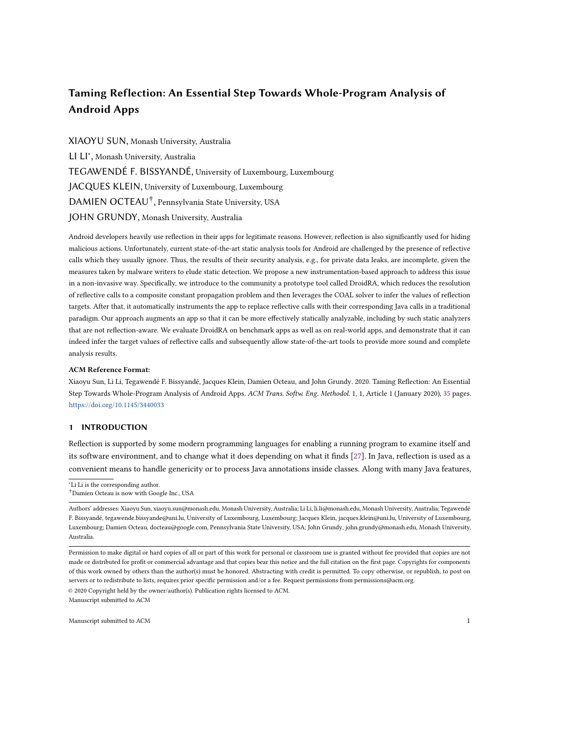| Table 7. The 13 test cases we use in our in-the-lab experiments. These 13 cases follow the common pattern of Figure 1 and each case |  |  |  |
|-------------------------------------------------------------------------------------------------------------------------------------|--|--|--|
| contains exactly one sensitive data leak.                                                                                           |  |  |  |

| Case | Source     | Reflection Usage                                                                | <b>IccTA</b> | $DroidRA+IccTA$ |
|------|------------|---------------------------------------------------------------------------------|--------------|-----------------|
|      |            | DroidBench forName()! newInstance()                                             |              |                 |
| 2    | DroidBench | forName()! newInstance()                                                        |              |                 |
|      | DroidBench | forName()! newInstance()! m.invoke()! m.invoke()                                |              |                 |
| 4    | DroidBench | forName()! newInstance()                                                        |              |                 |
|      | New        | forName()! getConstructor()! newInstance()                                      |              |                 |
|      | New        | forName()! getConstructors()! newInstance()                                     |              |                 |
|      | New        | forName()! getConstructor()! newInstance()! m.invoke()! m.invoke()              |              |                 |
| 8    | New        | loadClass()! newInstance()                                                      |              |                 |
|      | New        | $loadClass()$ ! newInstance $()$ ! f.set $()$ ! m.invoke $()$                   |              |                 |
| 10   | New        | $forName()$ ! getConstructor()! newInstance()! $f.get()$                        |              |                 |
| 11   | New        | startActivity()! forName()! newInstance()! m.invoke()! m.invoke()               |              |                 |
| 12   | New        | $forName()$ ! $getConstructor()$ ! $newInstance()$ ! $f.set()$ ! $f.get()$      |              |                 |
| 13   | New        | forName()! getConstructor()! newInstance()! getFields()! f.set()!<br>f.get $()$ | ^            |                 |

observe that the overheads are always within a minute. This value is reasonable (and neglectable) compared to the execution time of static analysis tools such as IccTA or FlowDroid, which can run for several minutes and even hours on a given app.

# 6 DISCUSSION AND LIMITATIONS

Observant readers may have noted that we have set 10 minutes as timeout for all the reflection analyses we have conducted in this work. In some circumstances this timeout may not be adequate for DroidRA to completely analyze an Android app. Indeed, among the 1,000 randomly selected apps, 152 of them cannot be successfully analyzed by DroidRA within that time, as demonstrated in Section 5.1. We would like to stress that the unsuccessful cases may not necessarily be related to timeout (e.g., could be tool-chain exceptions). Since time performance is known to be a common issue for static code analyzers, like many other static Android app analysis approaches, we prioritize precision and accuracy over computational cost. We believe that enlarging the timeout may enable DroidRA to successfully analyze more apps, but this may not impact the tool's capabilities of locating and resolving reflective calls in Android apps. Nevertheless, to evaluate this hypothesis, we check how this timeout period could impact on our DroidRA reflection analysis approach. To this end, we re-ran DroidRA on the selected apps with different timeouts: 1, 5, 10, 20, 30, and 50 minutes. For the sake of time efficiency, instead of considering the whole 1,000 apps, we take into account only 304 apps that are formed as (A) 152 apps randomly selected from the set of apps that are successfully analyzed in 10 minutes, and (B) 152 apps that cannot be successfully analyzed by DroidRA with 10 minutes timeout.

Table 8 presents these experimental results. With 1 minute as timeout, as expected, DroidRA cannot finish its analysis on any of the selected apps. This situation is dramatically changed when the timeout is set to 5 minutes: around two-thirds of the apps in Group-A can now be successfully analyzed, although the number of analyzed apps in Group-B remains to be zero. With 10 minutes as timeout, we observe the same experimental results as what we have presented previously: all the apps in group A are now successfully analyzed while all the apps in Group-B are not. This result is not changed, even when we increase the timeout to 20 minutes. Only when we set the timeout to be 30 and 50 minutes, the apps in Group-B start to be successfully analyzed. In our experiments, there are 11, and 14 apps (out of the 152 failed apps) are successfully analyzed when 30 and 50 minutes are given as timeout, respectively. This experimental evidence shows that 10 minutes is a suitable timeout for our study as the majority of apps can be successfully analyzed Manuscript submitted to ACM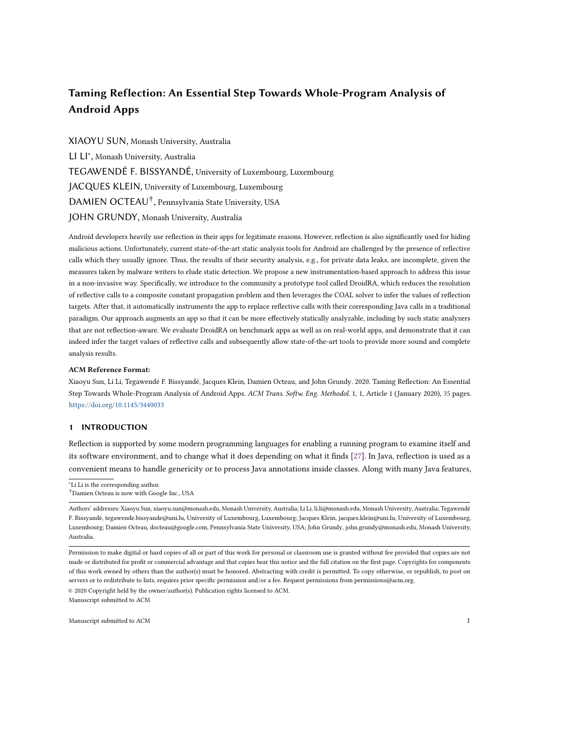within this time (cf. Group-A) and such apps that cannot be analyzed within 10 minutes are unlikely to be analyzed even when the timeout is significantly increased.

Table 8. The numbers of successfully analyzed apps with different timeouts.

| Group                                        | 1 minute |  | 5 minute 10 minute 20 minute 30 minute 50 minute |  |
|----------------------------------------------|----------|--|--------------------------------------------------|--|
| Group-A (152 successfully analyzed apps)     |          |  |                                                  |  |
| Group-B (152 unsuccessfully analyzed apps) 0 |          |  |                                                  |  |

Limitations. The main threats to validity of our evaluations of DroidRA are carried over from the COAL solver. At the moment, the composite constant propagation cannot fully track objects inside an array. We have provided limited support in our improved version of the COAL solver and we plan to address this further in future work. The conservative setting where a string is represented by a regular expression ("\*") if COAL cannot statically infer its value can be taken as everything and thus may also introduce false positives. We have applied a probabilistic model attempting to mitigate this threat by leveraging domain knowledge in developing Android apps [56] [72]. However, for some targets, it still remains to be unresolved (i.e., "\*"). In some other cases, although resolved successfully by the probabilistic model, these may include false-positive results. Indeed, the probabilistic model may yield multiple sets of results, among which only one of them is correct. Users of DroidRA hence need to put additional effort (such as taking type and data-flow information into consideration) to exclude such false-positive results. Fortunately, as shown in our experimental results, the fact that only a small portion of results are inaccurate, shows that our approach is practical in taming reflection for supporting the whole-program analysis of Android apps.

The current implementation of our approach may also confront false-negative results.<sup>11</sup> The single entry-point method (i.e., the dummy main method) that we build may not cover all the reflective calls, which means that some reflective calls may not be reachable from the call graph of RAM (and thereby result in false-negative results). Another threat is related to Dynamic Class Loading. Although we have used heuristics to include external classes, some other would-be dynamically loaded code (e.g., downloaded at runtime) can be missed during the reflective call resolution step, which would again introduce false-negative results to our approach. However, our objective in this paper was not to solve the DCL problem. Other approaches [58] [73] can be used to complement our work. As of our future work, we plan to continuously improve our approach to address the aforementioned challenges so as to reduce false-negative results as much as possible.

Since our experiments are conducted based on 1000 randomly selected Google Play apps, our results may overly influenced by these apps and hence may not generalize to other apps. Nevertheless, compared to the results obtained over the previously randomly selected 500 apps, the fact that DroidRA achieves good results on the newly selected 1000 apps suggests that this threat might be limited.

The code dependency analysis we applied to identify "reflection-free" code in Android apps may not be fully accurate. Our approach at the moment cannot guarantee that there is absolutely no dependency between the retained and excluded code. Moreover, the call graph built by RAM leverages the implementation of the Spark algorithm in Soot, which also comes with specific limitations [8]. Nevertheless, as shown in Section 5.4, this feature has been demonstrated to be effective in practice. This feature does provide an option for users to achieve a trade-off between the soundness of the analysis results and the time performance consumed by successfully analyzing an app.

<sup>&</sup>lt;sup>11</sup>False-negative usually refers to a result that wrongly indicates that a given condition does not hold. In this work, it refers to such results that are missed by our approach, although they do exist in the corresponding app.

Manuscript submitted to ACM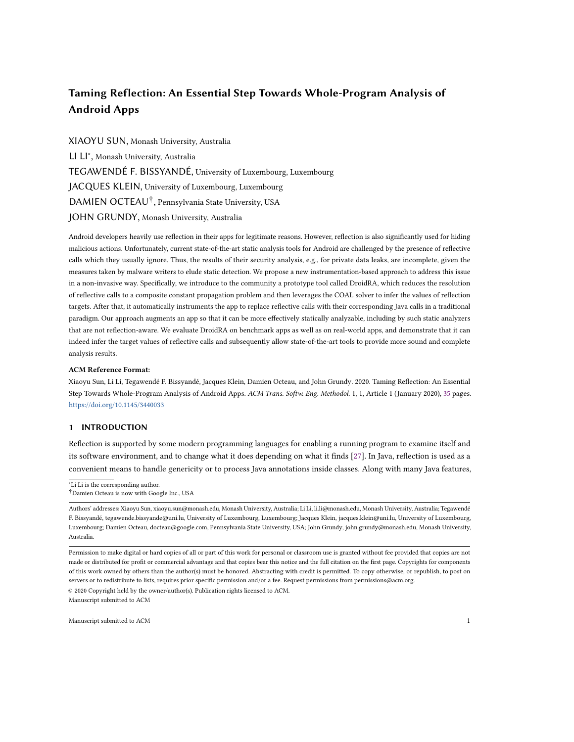The release date we leveraged to select apps is based on the last modification date of the app, which, unfortunately, is known to be not reliable. Indeed, as shown in our previous work [43], according to the last modification date, some apps may access APIs that do not yet exist at that time i.e., such APIs are introduced posterior to the last modification date. Nonetheless, the time information is not critical to our approach, and hence we believe its impact on our results is limited.

Finally, DroidRA handles neither native code, Javascript code, nor multi-threaded code. These are challenges that most current Android static analysis approaches ignore, and are for now out of the scope of this work.

## 7 RELATED WORK

Research on static analysis of Android apps presents strong limitations related to reflection handling [19, 29, 42, 69]. Authors of recent approaches explicitly acknowledge such limitations, indicating that they ignore reflection in their approaches [41, 57, 67] or failing to state whether reflective calls are handled [66] in their approach.

The closest work to ours was concurrently proposed by Barros et al. [17] within their Checker framework. Their work differs from ours in several ways: first, the design of their approach focuses on helping developers to check the information-flow in their own apps, using annotations in the source code. This limits the potential use of their approach by security analysts in large markets of Android apps such as GooglePlay or AppChina. Second, they build on an intra-procedural type inference system to resolve reflective calls, while we build on an inter-procedural precise and context-sensitive analysis. Third, our approach is non-invasive for existing analysis tools whose performance can be boosted by our augmented app code with reflection resolutions.

Reflection, by itself, has been investigated in several works for Java applications. Most notably, Bodden et al. [20] have presented TamiFlex for aiding static analysis in the presence of reflections in Java programs. Similar to our approach, TamiFlex is implemented on top of Soot and includes a Booster module, which enriches Java programs by "materializing" reflection methods into traditional Java calls. However, DroidRA manipulates Jimple code directly while TamiFlex works on Java bytecode. Furthermore, DroidRA is a pure static approach while TamiFlex needs to execute programs after creating logging points for reflection methods to extract reflection values. Finally, although Android apps are written in Java, TamiFlex cannot even be applied to Android apps as it uses a special Java API that is not available in Android [73].

Recently, Li et al. [52] present a comprehensive understanding of Java reflection through examining its underlying concepts and its real-world usages. Building on this, the authors further introduce a static approach to resolve Java reflection in practice. This static approach has been integrated into SOLAR, a soundness-guided reflection analysis tool for Java [51]. The authors also introduced tools called Elf [50] and Ripple [72] for reflection analysis of Java and Android apps. Elf infers the targets of reflective calls using the API semantics, such as class name, method name, method arguments, etc. Ripple takes into account incomplete information environments to improve the coverage of potential reflective calls. Smaragdakis et al. [64] present another static reflection handling technique to resolve reflective targets for Java programs. Some of the incomplete information environments discussed by these approaches could be leveraged to further refine our approximation model so as to help DroidRA resolve more reflective targets.

Another work that tackles reflection for Java has been done by Livshits et al. [55], in which points-to analysis is leveraged to approximate the targets of reflection calls. Unlike our approach, their approach needs users to provide a per-app specification in order to resolve reflections. This is difficult to apply for large scale analysis. Similarly, Braux et al. [21] propose a static approach to optimize reflection calls at compile time, for the purpose of increasing time performance.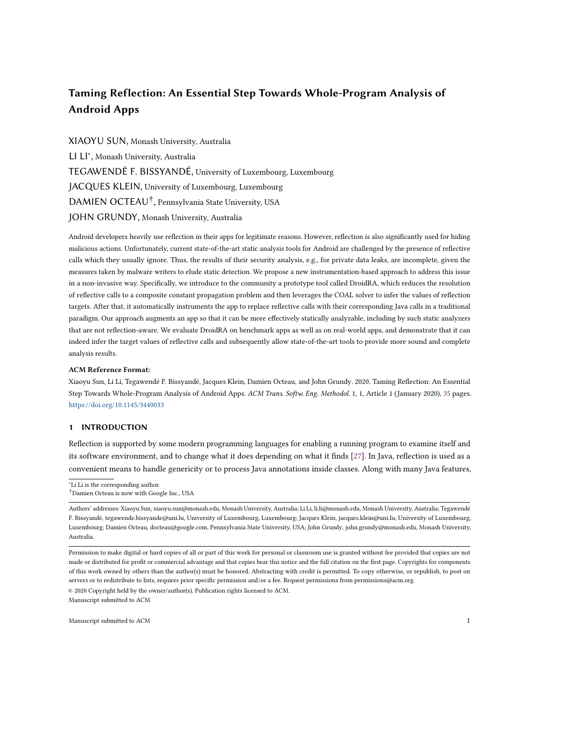Regarding Dynamic Code Loading in Android, Poeplau et al. [58] have proposed a systematic review on how and why Android apps load additional code dynamically. In their work, they use an approach that attempts to build a super CFG by replacing any invoke() call with the target method's entry point. This approach however fails to take into account the newInstance() reflective method call, which initializes objects, resulting in a context-insensitive approach, potentially leading to more false positives. StaDynA [73] was proposed to address the problem of dynamic code loading in Android apps at runtime. This approach requires a modified version of the Android framework to log all triggering actions of reflective calls. StaDynA is thus not market-scalable, and presents a coverage issue in dynamic execution. Our approach, DroidRA, provides a better solution for reflective method calls and can be leveraged to compliment these approaches, so as to enhance them to conduct better analysis.

Instrumenting Android apps to strengthen static analysis is not new [13, 39]. For example, IccTA [41], a state-of-theart ICC leaks analyzer, instruments apps to bridge ICC gaps and eventually enables inter-component static analysis. AppSealer [70] instruments Android apps for generating vulnerability-specific patches, which prevent component hijacking attacks at runtime. Other approaches [63, 71] apply the same idea, which injects shadow code into Android apps, to perform privacy leaks prevention.

In addition to statically infer the target values for reflective calls, various approaches to resolve the reflective targets dynamically have been proposed [35]. Hirzel et al [31] proposed an approach to handle dynamic features in Java at runtime through online pointer analyses. When new code is introduced by reflection, their approach will gradually take them into consideration and will incrementally update the points-to information. More recently, Rasthofer et al. [59, 60] introduce an approach for automatically extracting runtime values from Android apps. This approach can be leveraged to identify the reflective calls, which are frequently leveraged by malware samples to hide sensitive behaviors. All of these dynamic approaches can be leveraged to supplement our work towards statically taming the reflective calls in Android apps.

# 8 CONCLUSION

A long time challenge has been how to effectively perform a complete and sound reflection-aware static analysis of Android apps. We have presented an open source tool DroidRA to perform such reflection analysis. DroidRA models the identification of reflective calls as a composite constant propagation problem via the COAL declarative language. It leverages the COAL solver to automatically infer reflection-based values. DroidRA then uses a booster module, which is based on the previously inferred results to augment apps with traditional Java calls, augmenting app code with resolved reflective calls. This augmented app code provides a non-invasive way of supporting existing static analyzers in performing highly sound and complete reflection-aware analysis, without any modification or configuration. Through various evaluations we have demonstrated the benefits and performance of DroidRA.

## 9 ACKNOWLEDGMENTS

The authors would like to thank the anonymous reviewers who have provided insightful and constructive comments to the conference version of this extension. This work was partly supported by the Australian Research Council (ARC) under a Laureate Fellowship project FL190100035, a Discovery Early Career Researcher Award (DECRA) project DE200100016, and a Discovery project DP200100020, by the Luxembourg National Research Fund (FNR) (under project CHARACTERIZE C17/IS/11693861), by the SPARTA project, which has received funding from the European Union's Horizon 2020 research and innovation program under grant agreement No 830892.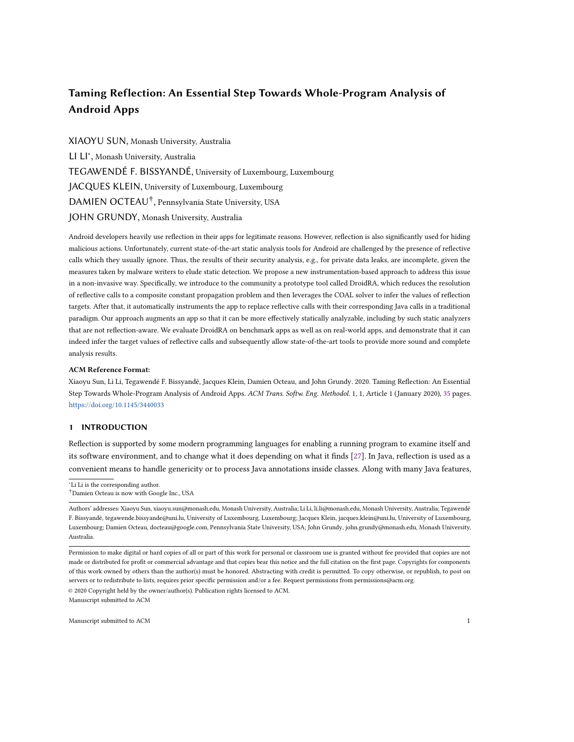#### REFERENCES

- [1] Android permission element. [http://developer.android.com/guide/topics/manifest/permission-element.html.](http://developer.android.com/guide/topics/manifest/permission-element.html) Last updated: 2019-12-27.
- [2] Backward compatibility for android applications. [http://android-developers.blogspot.com/2009/04/backward-compatibility-for-android.html.](http://android-developers.blogspot.com/2009/04/backward-compatibility-for-android.html)
- [3] Droidbench. [http://sseblog.ec-spride.de/tools/droidbench/.](http://sseblog.ec-spride.de/tools/droidbench/) Accessed: 2015-08-22.
- [4] Droidra. [https://github.com/MobileSE/DroidRA.](https://github.com/MobileSE/DroidRA) Last updated: 2020-05-07.
- [5] F-droid. [https://f-droid.org.](https://f-droid.org) Accessed: 2020-03-16.
- [6] Google. android monkey. <http://developer.android.com/tools/help/monkey.html.>
- [7] Google play developer program policies. [https://play.google.com/about/developer-content-policy.html.](https://play.google.com/about/developer-content-policy.html) Accessed: 2015-07-22.
- [8] Missing call edges (for spark, not cha). [https://www.marc.info/?l=soot-list&m=142350513016832.](https://www.marc.info/?l=soot-list&m=142350513016832) Accessed: 2015-02-09.
- [9] Varargs. [http://docs.oracle.com/javase/7/docs/technotes/guides/language/varargs.html.](http://docs.oracle.com/javase/7/docs/technotes/guides/language/varargs.html) Accessed: 2018.
- [10] ALHANAHNAH, M., YAN, Q., BAGHERI, H., ZHOU, H., TsuTANO, Y., SRISA-AN, W., AND LUO, X. Dina: Detecting hidden android inter-app communication in dynamic loaded code. IEEE Transactions on Information Forensics and Security 15 (2020), 2782–2797.
- [11] Allix, K., Bissyandé, T. F., Klein, J., and Le Traon, Y. AndroZoo: Collecting Millions of Android Apps for the Research Community. In The 13th International Conference on Mining Software Repositories, Data Showcase track (2016).
- [12] APVRILLE, A., AND NIGAM, R. Obfuscation in android malware, and how to fight back. Virus Bulletin (2014). [https://www.virusbtn.com/virusbulletin/](https://www.virusbtn.com/virusbulletin/archive/2014/07/vb201407-Android-obfuscation) [archive/2014/07/vb201407-Android-obfuscation.](https://www.virusbtn.com/virusbulletin/archive/2014/07/vb201407-Android-obfuscation)
- [13] ARZT, S., RASTHOFER, S., AND BODDEN, E. Instrumenting android and java applications as easy as abc. In Runtime Verification (2013), Springer, pp. 364–381.
- [14] Arzt, S., Rasthofer, S., Fritz, C., Bodden, E., Bartel, A., Klein, J., Le Traon, Y., Octeau, D., and McDaniel, P. Flowdroid: Precise context, flow, field, object-sensitive and lifecycle-aware taint analysis for android apps. In Proceedings of the 35th annual ACM SIGPLAN conference on Programming Language Design and Implementation (PLDI 2014) (2014).
- [15] Au, K. W. Y., Zhou, Y. F., Huang, Z., and Lie, D. Pscout: analyzing the android permission specification. In Proceedings of the 2012 ACM conference on Computer and communications security (New York, NY, USA, 2012), CCS '12, ACM, pp. 217–228.
- [16] AVDIIENKO, V., KUZNETSOV, K., GORLA, A., ZELLER, A., ARZT, S., RASTHOFER, S., AND BODDEN, E. Mining apps for abnormal usage of sensitive data. In 2015 IEEE/ACM 37th IEEE International Conference on Software Engineering (2015), vol. 1, IEEE, pp. 426–436.
- [17] Barros, P., Just, R., Millstein, S., Vines, P., Dietl, W., d'Armorim, M., and Ernst, M. D. Static analysis of implicit control flow: Resolving java reflection and android intents. In Proceedings of the IEEE/ACM International Conference on Automated Software Engineering (Lincoln, Nebraska, 2015), ASE.
- [18] Bartel, A., Klein, J., Monperrus, M., and Le Traon, Y. Dexpler: Converting android dalvik bytecode to jimple for static analysis with soot. In ACM Sigplan International Workshop on the State Of The Art in Java Program Analysis (June 2012).
- [19] BATYUK, L., HERPICH, M., CAMTEPE, S. A., RADDATZ, K., SCHMIDT, A.-D., AND ALBAYRAK, S. Using static analysis for automatic assessment and mitigation of unwanted and malicious activities within android applications. In Malicious and Unwanted Software (MALWARE), 2011 6th International Conference on (2011), IEEE, pp. 66–72.
- [20] BODDEN, E., SEWE, A., SINSCHEK, J., OUESLATI, H., AND MEZINI, M. Taming reflection: Aiding static analysis in the presence of reflection and custom class loaders. In ICSE (2011), ACM, pp. 241–250.
- [21] Braux, M., and Noyé, J. Towards partially evaluating reflection in java. ACM SIGPLAN Notices 34, 11 (1999), 2–11.
- [22] CAI, H., ZHANG, Z., LI, L., AND FU, X. A large-scale study of application incompatibilities in android. In The 28th ACM SIGSOFT International Symposium on Software Testing and Analysis (ISSTA 2019) (2019).
- [23] CAO, Y., FRATANTONIO, Y., BIANCHI, A., EGELE, M., KRUEGEL, C., VIGNA, G., AND CHEN, Y. Edgeminer: Automatically detecting implicit control flow transitions through the android framework. In NDSS (2015).
- [24] DEAN, L. GROVE, D., AND CHAMBERS, C. Optimization of object-oriented programs using static class hierarchy analysis. In Proceedings of the 9th European Conference on Object-Oriented Programming (London, UK, UK, 1995), ECOOP '95, Springer-Verlag, pp. 77–101.
- [25] Ernst, M. D., Just, R., Millstein, S., Dietl, W., Pernsteiner, S., Roesner, F., Koscher, K., Barros, P., Bhoraskar, R., Han, S., Vines, P., and Wu, E. X. Collaborative verification of information flow for a high-assurance app store. In CCS (Scottsdale, AZ, USA, November 4–6, 2014), pp. 1092–1104.
- [26] FENG, Y., ANAND, S., DILLIG, I., AND AIKEN, A. Apposcopy: Semantics-based detection of android malware through static analysis. In SIGSOFT FSE (2014).
- [27] Forman, I. R., and Forman, N. Java Reflection in Action (In Action Series). Manning Publications Co., Greenwich, CT, USA, 2004.
- [28] Gao, J., Li, L., Kong, P., Bissyandé, T. F., and Klein, J. Understanding the evolution of android app vulnerabilities. IEEE Transactions on Reliability (TRel) (2019).
- [29] GIBLER, C., CRUSSELL, J., ERICKSON, J., AND CHEN, H. Androidleaks: automatically detecting potential privacy leaks in android applications on a large scale. In Proceedings of the 5th international conference on Trust and Trustworthy Computing (Berlin, Heidelberg, 2012), TRUST'12, Springer-Verlag, pp. 291–307.
- [30] GORDON, M. I., KIM, D., PERKINS, J., GILHAM, L., NGUYEN, N., AND RINARD, M. Information-flow analysis of android applications in droidsafe.
- [31] HIRZEL, M., DINCKLAGE, D. V., DIWAN, A., AND HIND, M. Fast online pointer analysis. ACM Transactions on Programming Languages and Systems (TOPLAS) 29, 2 (2007), 11–es.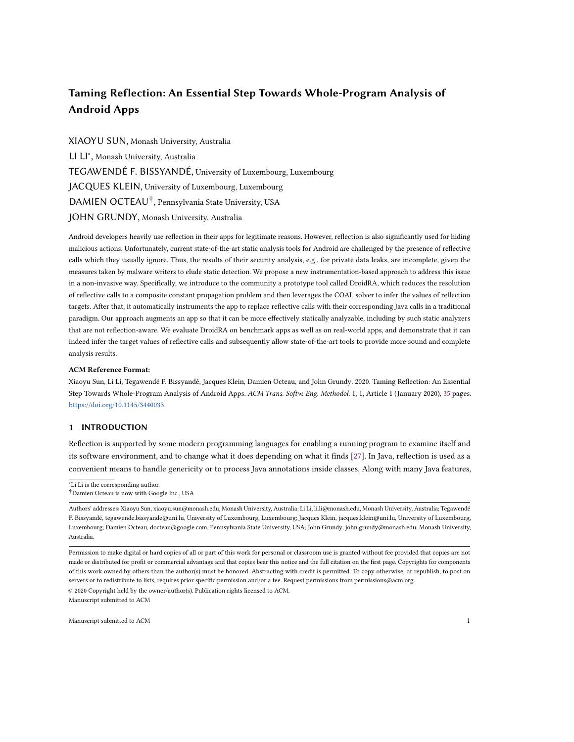- [32] Hu, Y., WANG, H., ZHOU, Y., GUO, Y., LI, L., Luo, B., AND XU, F. Dating with scambots: Understanding the ecosystem of fraudulent dating applications. IEEE Transactions on Dependable and Secure Computing (TDSC) (2019).
- [33] Huang, J., Zhang, X., Tan, L., Wang, P., and Liang, B. AsDroid: Detecting stealthy behaviors in android applications by user interface and program behavior contradiction. In Proceedings of the IEEE/ACM International Conference on Software Engineering (ICSE) (May 2014).
- [34] KAZDAGLI, M., HUANG, L., REDDI, V., AND TIWARI, M. Morpheus: Benchmarking computational diversity in mobile malware. In Proceedings of the Third Workshop on Hardware and Architectural Support for Security and Privacy (New York, NY, USA, 2014), HASP '14, ACM, pp. 3:1–3:8.
- [35] Kong, P., Li, L., Gao, J., Liu, K., Bissyandé, T. F., and Klein, J. Automated testing of android apps: A systematic literature review. IEEE Transactions on Reliability (2018).
- [36] LAM, P., BODDEN, E., LHOTÁK, O., AND HENDREN, L. The soot framework for java program analysis: a retrospective. In Cetus Users and Compiler Infastructure Workshop (CETUS 2011) (2011).
- [37] LHOTÁK, O., AND HENDREN, L. Scaling java points-to analysis using spark. In Compiler Construction (2003), Springer, pp. 153-169.
- [38] Li, L. Boosting static analysis of android apps through code instrumentation. In ICSE-DS (2016).
- [39] LI, L. Mining androzoo: A retrospect. In The Doctoral Symposium of 33rd International Conference on Software Maintenance and Evolution (ICSME-DS 2017) (2017).
- [40] Li, L., Allix, K., Li, D., Bartel, A., Bissyandé, T. F., and Klein, J. Potential Component Leaks in Android Apps: An Investigation into a new Feature Set for Malware Detection. In QRS (2015).
- [41] Li, L., Bartel, A., Bissyandé, T. F., Klein, J., Le Traon, Y., Arzt, S., Rasthofer, S., Bodden, E., Octeau, D., and Mcdaniel, P. IccTA: Detecting Inter-Component Privacy Leaks in Android Apps. In ICSE (2015).
- [42] LI, L., BARTEL, A., KLEIN, J., AND LE TRAON, Y. Automatically exploiting potential component leaks in android applications. In Proceedings of the 13th International Conference on Trust, Security and Privacy in Computing and Communications (TrustCom 2014) (2014), IEEE.
- [43] Lt, L., BISSYANDÉ, T. F., AND KLEIN, J. Moonlightbox: Mining android api histories for uncovering release-time inconsistencies. In The 29th IEEE International Symposium on Software Reliability Engineering (ISSRE 2018) (2018).
- [44] LI, L., BISSYANDÉ, T. F., AND KLEIN, J. Rebooting research on detecting repackaged android apps: Literature review and benchmark. IEEE Transactions on Software Engineering (TSE) (2019).
- [45] Li, L., BISSYANDÉ, T. F., KLEIN, J., AND LE TRAON, Y. An investigation into the use of common libraries in android apps. In The 23rd IEEE International Conference on Software Analysis, Evolution, and Reengineering (SANER 2016) (2016).
- [46] LI, L., BISSYANDÉ, T. F., LE TRAON, Y., AND KLEIN, J. Accessing inaccessible android apis: An empirical study. In The 32nd International Conference on Software Maintenance and Evolution (ICSME 2016) (2016).
- [47] Li, L., Bissyandé, T. F., Papadakis, M., Rasthofer, S., Bartel, A., Octeau, D., Klein, J., and Le Traon, Y. Static analysis of android apps: A systematic literature review. Information and Software Technology (2017).
- [48] Lt, L., Bissyandé, T. F., WANG, H., AND KLEIN, J. Cid: Automating the detection of api-related compatibility issues in android apps. In The ACM SIGSOFT International Symposium on Software Testing and Analysis (ISSTA 2018) (2018).
- [49] LI, L., LI, D., BISSYANDÉ, T. F., KLEIN, J., LE TRAON, Y., LO, D., AND CAVALLARO, L. Understanding android app piggybacking: A systematic study of malicious code grafting. IEEE Transactions on Information Forensics & Security (TIFS) (2017).
- [50] Li, Y., Tan, T., Sui, Y., and Xue, J. Self-inferencing reflection resolution for java. In European Conference on Object-Oriented Programming (2014), Springer, pp. 27–53.
- [51] Li, Y., Tan, T., and Xue, J. Effective soundness-guided reflection analysis. In International Static Analysis Symposium (2015), Springer, pp. 162–180.
- [52] Li, Y., TAN, T., AND XUE, J. Understanding and analyzing java reflection. ACM Transactions on Software Engineering and Methodology (TOSEM) 28, 2 (2019), 1–50.
- [53] Lindorfer, M., Neugschw, M., Weichselbaum, L., Fratantonio, Y., Veen, V. V. D., and Platzer, C. Andrubis- 1,000,000 apps later: A view on current android malware behaviors.
- [54] Liu, T., Wang, H., Li, L., Luo, X., Dong, F., Guo, Y., Wang, L., Bissyandé, T. F., and Klein, J. Maddroid: Characterising and detecting devious ad content for android apps. In The Web Conference 2020 (WWW 2020) (2020).
- [55] Livshits, B., Whaley, J., and Lam, M. S. Reflection analysis for java. In Programming Languages and Systems. Springer, 2005, pp. 139–160.
- [56] Octeau, D., Jha, S., Dering, M., Mcdaniel, P., Bartel, A., Li, L., Klein, J., and Le Traon, Y. Combining static analysis with probabilistic models to enable market-scale android inter-component analysis. In Proceedings of the 43th Symposium on Principles of Programming Languages (POPL 2016) (2016).
- [57] Octeau, D., Luchaup, D., Dering, M., Jha, S., and McDaniel, P. Composite constant propagation: Application to android inter-component communication analysis. In Proceedings of the 37th International Conference on Software Engineering (ICSE) (2015).
- [58] Poeplau, S., Fratantonio, Y., Bianchi, A., Kruegel, C., and Vigna, G. Execute this! analyzing unsafe and malicious dynamic code loading in android applications. In Proceedings of the 21th Annual Network and Distributed System Security Symposium (NDSS'14) (2014).
- [59] RASTHOFER, S., ARZT, S., MILTENBERGER, M., AND BODDEN, E. Harvesting runtime values in android applications that feature anti-analysis techniques.
- [60] Rasthofer, S., Arzt, S., Triller, S., and Pradel, M. Making malory behave maliciously: Targeted fuzzing of android execution environments. In 2017 IEEE/ACM 39th International Conference on Software Engineering (ICSE) (2017), IEEE, pp. 300–311.
- [61] RASTOGI, V., CHEN, Y., AND JIANG, X. Droidchameleon: Evaluating android anti-malware against transformation attacks. In Proceedings of the 8th ACM SIGSAC Symposium on Information, Computer and Communications Security (New York, NY, USA, 2013), ASIA CCS '13, ACM, pp. 329–334.